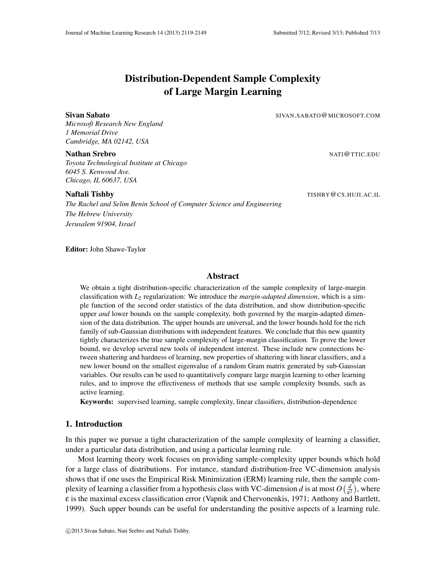*Microsoft Research New England*

*1 Memorial Drive*

*Toyota Technological Institute at Chicago 6045 S. Kenwood Ave. Chicago, IL 60637, USA*

*The Rachel and Selim Benin School of Computer Science and Engineering The Hebrew University Jerusalem 91904, Israel*

Editor: John Shawe-Taylor

# Abstract

Distribution-Dependent Sample Complexity of Large Margin Learning

Sivan Sabato Sivan Sabato SIVAN.SABATO @MICROSOFT.COM

We obtain a tight distribution-specific characterization of the sample complexity of large-margin classification with *L*<sup>2</sup> regularization: We introduce the *margin-adapted dimension*, which is a simple function of the second order statistics of the data distribution, and show distribution-specific upper *and* lower bounds on the sample complexity, both governed by the margin-adapted dimension of the data distribution. The upper bounds are universal, and the lower bounds hold for the rich family of sub-Gaussian distributions with independent features. We conclude that this new quantity tightly characterizes the true sample complexity of large-margin classification. To prove the lower bound, we develop several new tools of independent interest. These include new connections between shattering and hardness of learning, new properties of shattering with linear classifiers, and a new lower bound on the smallest eigenvalue of a random Gram matrix generated by sub-Gaussian variables. Our results can be used to quantitatively compare large margin learning to other learning rules, and to improve the effectiveness of methods that use sample complexity bounds, such as active learning.

Keywords: supervised learning, sample complexity, linear classifiers, distribution-dependence

# 1. Introduction

In this paper we pursue a tight characterization of the sample complexity of learning a classifier, under a particular data distribution, and using a particular learning rule.

Most learning theory work focuses on providing sample-complexity upper bounds which hold for a large class of distributions. For instance, standard distribution-free VC-dimension analysis shows that if one uses the Empirical Risk Minimization (ERM) learning rule, then the sample complexity of learning a classifier from a hypothesis class with VC-dimension *d* is at most  $O\left(\frac{d}{\epsilon^2}\right)$  $\frac{d}{\epsilon^2}$ ), where ε is the maximal excess classification error (Vapnik and Chervonenkis, 1971; Anthony and Bartlett, 1999). Such upper bounds can be useful for understanding the positive aspects of a learning rule.

Naftali Tishby TISHBY@CS.HUJI.AC.IL

# Nathan Srebro National Superior Contract of the NATI Contract of the NATI CONTRACT IN A NATI CONTROL EDUCATE O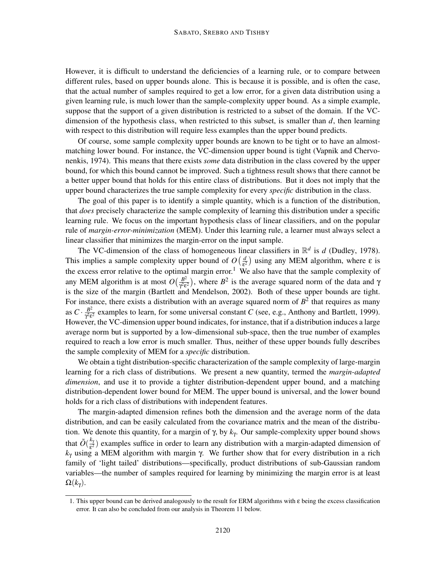However, it is difficult to understand the deficiencies of a learning rule, or to compare between different rules, based on upper bounds alone. This is because it is possible, and is often the case, that the actual number of samples required to get a low error, for a given data distribution using a given learning rule, is much lower than the sample-complexity upper bound. As a simple example, suppose that the support of a given distribution is restricted to a subset of the domain. If the VCdimension of the hypothesis class, when restricted to this subset, is smaller than *d*, then learning with respect to this distribution will require less examples than the upper bound predicts.

Of course, some sample complexity upper bounds are known to be tight or to have an almostmatching lower bound. For instance, the VC-dimension upper bound is tight (Vapnik and Chervonenkis, 1974). This means that there exists *some* data distribution in the class covered by the upper bound, for which this bound cannot be improved. Such a tightness result shows that there cannot be a better upper bound that holds for this entire class of distributions. But it does not imply that the upper bound characterizes the true sample complexity for every *specific* distribution in the class.

The goal of this paper is to identify a simple quantity, which is a function of the distribution, that *does* precisely characterize the sample complexity of learning this distribution under a specific learning rule. We focus on the important hypothesis class of linear classifiers, and on the popular rule of *margin-error-minimization* (MEM). Under this learning rule, a learner must always select a linear classifier that minimizes the margin-error on the input sample.

The VC-dimension of the class of homogeneous linear classifiers in  $\mathbb{R}^d$  is *d* (Dudley, 1978). This implies a sample complexity upper bound of  $O(\frac{d}{\epsilon^2})$  using any MEM algorithm, where  $\epsilon$  is the excess error relative to the optimal margin error.<sup>1</sup> We also have that the sample complexity of the excess error relative to the optimal margin error.<sup>1</sup> We also have that the sample complexity of any MEM algorithm is at most  $O(\frac{B^2}{\sqrt{2s}})$  $\frac{B^2}{\gamma^2 \epsilon^2}$ ), where  $B^2$  is the average squared norm of the data and  $\gamma$ is the size of the margin (Bartlett and Mendelson, 2002). Both of these upper bounds are tight. For instance, there exists a distribution with an average squared norm of  $B<sup>2</sup>$  that requires as many as  $C \cdot \frac{B^2}{\gamma^2 \varepsilon}$  $\frac{B^2}{\gamma^2 \epsilon^2}$  examples to learn, for some universal constant *C* (see, e.g., Anthony and Bartlett, 1999). However, the VC-dimension upper bound indicates, for instance, that if a distribution induces a large average norm but is supported by a low-dimensional sub-space, then the true number of examples required to reach a low error is much smaller. Thus, neither of these upper bounds fully describes the sample complexity of MEM for a *specific* distribution.

We obtain a tight distribution-specific characterization of the sample complexity of large-margin learning for a rich class of distributions. We present a new quantity, termed the *margin-adapted dimension*, and use it to provide a tighter distribution-dependent upper bound, and a matching distribution-dependent lower bound for MEM. The upper bound is universal, and the lower bound holds for a rich class of distributions with independent features.

The margin-adapted dimension refines both the dimension and the average norm of the data distribution, and can be easily calculated from the covariance matrix and the mean of the distribution. We denote this quantity, for a margin of γ, by *k*<sup>γ</sup> . Our sample-complexity upper bound shows that  $\tilde{O}(\frac{k_{\gamma}}{\epsilon^2})$  $\frac{k\gamma}{\epsilon^2}$ ) examples suffice in order to learn any distribution with a margin-adapted dimension of  $k<sub>γ</sub>$  using a MEM algorithm with margin γ. We further show that for every distribution in a rich family of 'light tailed' distributions—specifically, product distributions of sub-Gaussian random variables—the number of samples required for learning by minimizing the margin error is at least  $\Omega(k_{\gamma}).$ 

<sup>1.</sup> This upper bound can be derived analogously to the result for ERM algorithms with ε being the excess classification error. It can also be concluded from our analysis in Theorem 11 below.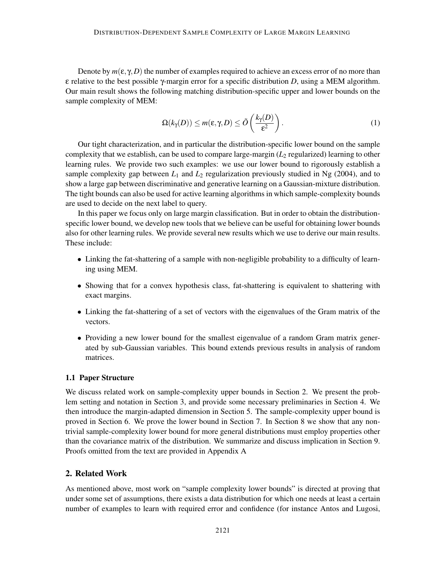Denote by  $m(\varepsilon, \gamma, D)$  the number of examples required to achieve an excess error of no more than ε relative to the best possible γ-margin error for a specific distribution *D*, using a MEM algorithm. Our main result shows the following matching distribution-specific upper and lower bounds on the sample complexity of MEM:

$$
\Omega(k_{\gamma}(D)) \le m(\varepsilon, \gamma, D) \le \tilde{O}\left(\frac{k_{\gamma}(D)}{\varepsilon^2}\right).
$$
 (1)

Our tight characterization, and in particular the distribution-specific lower bound on the sample complexity that we establish, can be used to compare large-margin  $(L_2$  regularized) learning to other learning rules. We provide two such examples: we use our lower bound to rigorously establish a sample complexity gap between  $L_1$  and  $L_2$  regularization previously studied in Ng (2004), and to show a large gap between discriminative and generative learning on a Gaussian-mixture distribution. The tight bounds can also be used for active learning algorithms in which sample-complexity bounds are used to decide on the next label to query.

In this paper we focus only on large margin classification. But in order to obtain the distributionspecific lower bound, we develop new tools that we believe can be useful for obtaining lower bounds also for other learning rules. We provide several new results which we use to derive our main results. These include:

- Linking the fat-shattering of a sample with non-negligible probability to a difficulty of learning using MEM.
- Showing that for a convex hypothesis class, fat-shattering is equivalent to shattering with exact margins.
- Linking the fat-shattering of a set of vectors with the eigenvalues of the Gram matrix of the vectors.
- Providing a new lower bound for the smallest eigenvalue of a random Gram matrix generated by sub-Gaussian variables. This bound extends previous results in analysis of random matrices.

#### 1.1 Paper Structure

We discuss related work on sample-complexity upper bounds in Section 2. We present the problem setting and notation in Section 3, and provide some necessary preliminaries in Section 4. We then introduce the margin-adapted dimension in Section 5. The sample-complexity upper bound is proved in Section 6. We prove the lower bound in Section 7. In Section 8 we show that any nontrivial sample-complexity lower bound for more general distributions must employ properties other than the covariance matrix of the distribution. We summarize and discuss implication in Section 9. Proofs omitted from the text are provided in Appendix A

# 2. Related Work

As mentioned above, most work on "sample complexity lower bounds" is directed at proving that under some set of assumptions, there exists a data distribution for which one needs at least a certain number of examples to learn with required error and confidence (for instance Antos and Lugosi,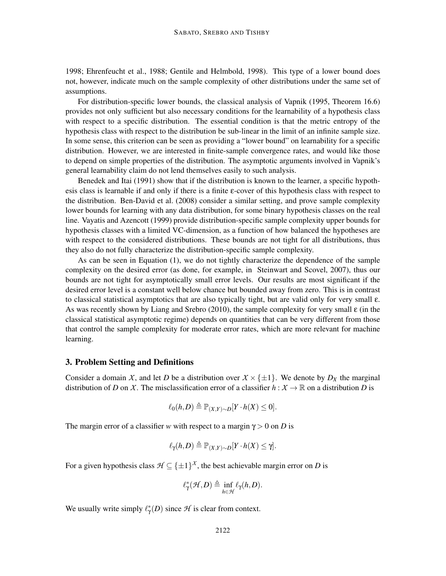1998; Ehrenfeucht et al., 1988; Gentile and Helmbold, 1998). This type of a lower bound does not, however, indicate much on the sample complexity of other distributions under the same set of assumptions.

For distribution-specific lower bounds, the classical analysis of Vapnik (1995, Theorem 16.6) provides not only sufficient but also necessary conditions for the learnability of a hypothesis class with respect to a specific distribution. The essential condition is that the metric entropy of the hypothesis class with respect to the distribution be sub-linear in the limit of an infinite sample size. In some sense, this criterion can be seen as providing a "lower bound" on learnability for a specific distribution. However, we are interested in finite-sample convergence rates, and would like those to depend on simple properties of the distribution. The asymptotic arguments involved in Vapnik's general learnability claim do not lend themselves easily to such analysis.

Benedek and Itai (1991) show that if the distribution is known to the learner, a specific hypothesis class is learnable if and only if there is a finite ε-cover of this hypothesis class with respect to the distribution. Ben-David et al. (2008) consider a similar setting, and prove sample complexity lower bounds for learning with any data distribution, for some binary hypothesis classes on the real line. Vayatis and Azencott (1999) provide distribution-specific sample complexity upper bounds for hypothesis classes with a limited VC-dimension, as a function of how balanced the hypotheses are with respect to the considered distributions. These bounds are not tight for all distributions, thus they also do not fully characterize the distribution-specific sample complexity.

As can be seen in Equation (1), we do not tightly characterize the dependence of the sample complexity on the desired error (as done, for example, in Steinwart and Scovel, 2007), thus our bounds are not tight for asymptotically small error levels. Our results are most significant if the desired error level is a constant well below chance but bounded away from zero. This is in contrast to classical statistical asymptotics that are also typically tight, but are valid only for very small ε. As was recently shown by Liang and Srebro (2010), the sample complexity for very small  $\varepsilon$  (in the classical statistical asymptotic regime) depends on quantities that can be very different from those that control the sample complexity for moderate error rates, which are more relevant for machine learning.

# 3. Problem Setting and Definitions

Consider a domain *X*, and let *D* be a distribution over  $X \times \{\pm 1\}$ . We denote by  $D_X$  the marginal distribution of *D* on *X*. The misclassification error of a classifier  $h: X \to \mathbb{R}$  on a distribution *D* is

$$
\ell_0(h,D) \triangleq \mathbb{P}_{(X,Y)\sim D}[Y \cdot h(X) \leq 0].
$$

The margin error of a classifier *w* with respect to a margin  $\gamma > 0$  on *D* is

$$
\ell_{\gamma}(h,D) \triangleq \mathbb{P}_{(X,Y)\sim D}[Y \cdot h(X) \leq \gamma].
$$

For a given hypothesis class  $\mathcal{H} \subseteq {\pm 1}^{\mathcal{X}}$ , the best achievable margin error on *D* is

$$
\ell^*_{\gamma}(\mathcal{H},D) \triangleq \inf_{h \in \mathcal{H}} \ell_{\gamma}(h,D).
$$

We usually write simply  $\ell^*_{\gamma}(D)$  since  $\mathcal H$  is clear from context.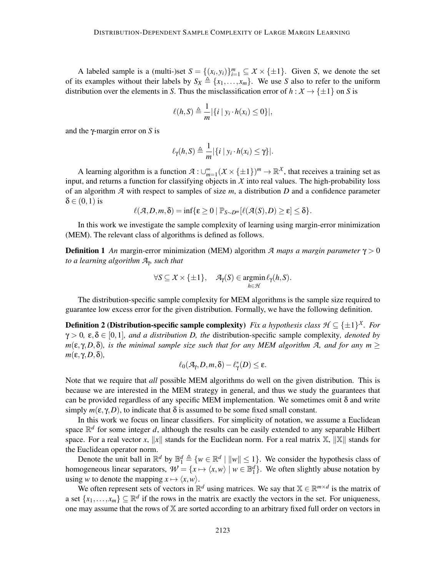A labeled sample is a (multi-)set  $S = \{(x_i, y_i)\}_{i=1}^m \subseteq X \times \{\pm 1\}$ . Given *S*, we denote the set of its examples without their labels by  $S_X \triangleq \{x_1, \ldots, x_m\}$ . We use *S* also to refer to the uniform distribution over the elements in *S*. Thus the misclassification error of  $h : X \to \{\pm 1\}$  on *S* is

$$
\ell(h, S) \triangleq \frac{1}{m} |\{i \mid y_i \cdot h(x_i) \leq 0\}|,
$$

and the γ-margin error on *S* is

$$
\ell_{\gamma}(h,S) \triangleq \frac{1}{m} |\{i \mid y_i \cdot h(x_i) \leq \gamma\}|.
$$

A learning algorithm is a function  $\mathcal{A}: \cup_{m=1}^{\infty} (X \times \{\pm 1\})^m \to \mathbb{R}^X$ , that receives a training set as input, and returns a function for classifying objects in  $X$  into real values. The high-probability loss of an algorithm *A* with respect to samples of size *m*, a distribution *D* and a confidence parameter  $\delta \in (0,1)$  is

$$
\ell(\mathcal{A}, D, m, \delta)=\inf\{\epsilon\geq 0\mid \mathbb{P}_{S\sim D^m}[\ell(\mathcal{A}(S), D)\geq \epsilon]\leq \delta\}.
$$

In this work we investigate the sample complexity of learning using margin-error minimization (MEM). The relevant class of algorithms is defined as follows.

Definition 1 *An* margin-error minimization (MEM) algorithm *A maps a margin parameter* γ > 0 *to a learning algorithm A*<sup>γ</sup> *, such that*

$$
\forall S \subseteq X \times \{\pm 1\}, \quad \mathcal{A}_{\gamma}(S) \in \operatorname*{argmin}_{h \in \mathcal{H}} \ell_{\gamma}(h, S).
$$

The distribution-specific sample complexity for MEM algorithms is the sample size required to guarantee low excess error for the given distribution. Formally, we have the following definition.

**Definition 2 (Distribution-specific sample complexity)** *Fix a hypothesis class*  $\mathcal{H} \subseteq {\pm 1}^{\chi}$ *. For*  $\gamma > 0$ ,  $\varepsilon, \delta \in [0,1]$ *, and a distribution D, the* distribution-specific sample complexity*, denoted by m*(ε, γ, *D*, δ)*, is the minimal sample size such that for any MEM algorithm A, and for any m*  $\geq$ *m*(ε, γ,*D*,δ)*,*

$$
\ell_0(\mathcal{A}_{\gamma},D,m,\delta)-\ell_{\gamma}^*(D)\leq \epsilon.
$$

Note that we require that *all* possible MEM algorithms do well on the given distribution. This is because we are interested in the MEM strategy in general, and thus we study the guarantees that can be provided regardless of any specific MEM implementation. We sometimes omit  $\delta$  and write simply  $m(\varepsilon, \gamma, D)$ , to indicate that  $\delta$  is assumed to be some fixed small constant.

In this work we focus on linear classifiers. For simplicity of notation, we assume a Euclidean space  $\mathbb{R}^d$  for some integer *d*, although the results can be easily extended to any separable Hilbert space. For a real vector x, ||x|| stands for the Euclidean norm. For a real matrix  $\mathbb{X}$ ,  $\|\mathbb{X}\|$  stands for the Euclidean operator norm.

Denote the unit ball in  $\mathbb{R}^d$  by  $\mathbb{B}_1^d \triangleq \{w \in \mathbb{R}^d \mid ||w|| \leq 1\}$ . We consider the hypothesis class of homogeneous linear separators,  $W = \{x \mapsto \langle x, w \rangle \mid w \in \mathbb{B}_1^d\}$ . We often slightly abuse notation by using *w* to denote the mapping  $x \mapsto \langle x, w \rangle$ .

We often represent sets of vectors in  $\mathbb{R}^d$  using matrices. We say that  $\mathbb{X} \in \mathbb{R}^{m \times d}$  is the matrix of a set  $\{x_1, \ldots, x_m\} \subseteq \mathbb{R}^d$  if the rows in the matrix are exactly the vectors in the set. For uniqueness, one may assume that the rows of X are sorted according to an arbitrary fixed full order on vectors in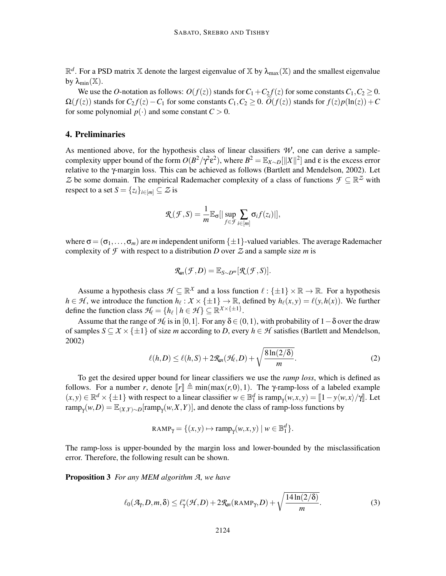$\mathbb{R}^d$ . For a PSD matrix X denote the largest eigenvalue of X by  $\lambda_{\max}(\mathbb{X})$  and the smallest eigenvalue by  $\lambda_{\min}(\mathbb{X})$ .

We use the *O*-notation as follows:  $O(f(z))$  stands for  $C_1 + C_2 f(z)$  for some constants  $C_1, C_2 \ge 0$ .  $\Omega(f(z))$  stands for  $C_2 f(z) - C_1$  for some constants  $C_1, C_2 \geq 0$ .  $\tilde{O}(f(z))$  stands for  $f(z)p(\ln(z)) + C_1$ for some polynomial  $p(\cdot)$  and some constant  $C > 0$ .

## 4. Preliminaries

As mentioned above, for the hypothesis class of linear classifiers  $W$ , one can derive a samplecomplexity upper bound of the form  $O(B^2/\gamma^2 \varepsilon^2)$ , where  $B^2 = \mathbb{E}_{X \sim D}[\|X\|^2]$  and  $\varepsilon$  is the excess error relative to the γ-margin loss. This can be achieved as follows (Bartlett and Mendelson, 2002). Let Z be some domain. The empirical Rademacher complexity of a class of functions  $\mathcal{F} \subseteq \mathbb{R}^{\mathbb{Z}}$  with respect to a set  $S = \{z_i\}_{i \in [m]} \subseteq \mathcal{Z}$  is

$$
\mathcal{R}(\mathcal{F},S) = \frac{1}{m} \mathbb{E}_{\sigma} [|\sup_{f \in \mathcal{F}} \sum_{i \in [m]} \sigma_i f(z_i)|],
$$

where  $\sigma = (\sigma_1, \ldots, \sigma_m)$  are *m* independent uniform  $\{\pm 1\}$ -valued variables. The average Rademacher complexity of  $\mathcal F$  with respect to a distribution *D* over  $\mathcal Z$  and a sample size *m* is

$$
R_m(\mathcal{F},D)=\mathbb{E}_{S\sim D^m}[\mathcal{R}(\mathcal{F},S)].
$$

Assume a hypothesis class  $\mathcal{H} \subseteq \mathbb{R}^{\chi}$  and a loss function  $\ell : {\pm 1} \times \mathbb{R} \to \mathbb{R}$ . For a hypothesis  $h \in \mathcal{H}$ , we introduce the function  $h_{\ell}: X \times \{\pm 1\} \to \mathbb{R}$ , defined by  $h_{\ell}(x, y) = \ell(y, h(x))$ . We further define the function class  $\mathcal{H}_{\ell} = \{h_{\ell} \mid h \in \mathcal{H}\} \subseteq \mathbb{R}^{\chi \times \{\pm 1\}}.$ 

Assume that the range of  $H_{\ell}$  is in [0,1]. For any  $\delta \in (0,1)$ , with probability of  $1-\delta$  over the draw of samples  $S \subseteq X \times \{\pm 1\}$  of size *m* according to *D*, every  $h \in \mathcal{H}$  satisfies (Bartlett and Mendelson, 2002)

$$
\ell(h, D) \leq \ell(h, S) + 2\mathcal{R}_m(\mathcal{H}_\ell, D) + \sqrt{\frac{8\ln(2/\delta)}{m}}.
$$
\n(2)

To get the desired upper bound for linear classifiers we use the *ramp loss*, which is defined as follows. For a number *r*, denote  $\llbracket r \rrbracket \triangleq \min(\max(r,0),1)$ . The *γ*-ramp-loss of a labeled example  $(x, y) \in \mathbb{R}^d \times {\pm 1}$  with respect to a linear classifier  $w \in \mathbb{B}_1^d$  is ramp<sub> $\gamma$ </sub> $(w, x, y) = [1 - y \langle w, x \rangle / \gamma]$ . Let  $\text{ramp}_{\gamma}(w, D) = \mathbb{E}_{(X, Y) \sim D}[\text{ramp}_{\gamma}(w, X, Y)],$  and denote the class of ramp-loss functions by

$$
RAMP_{\gamma} = \{ (x, y) \mapsto \text{ramp}_{\gamma}(w, x, y) \mid w \in \mathbb{B}^d_1 \}.
$$

The ramp-loss is upper-bounded by the margin loss and lower-bounded by the misclassification error. Therefore, the following result can be shown.

Proposition 3 *For any MEM algorithm A, we have*

$$
\ell_0(\mathcal{A}_{\gamma}, D, m, \delta) \leq \ell_{\gamma}^*(\mathcal{H}, D) + 2\mathcal{R}_{m}(\text{RAMP}_{\gamma}, D) + \sqrt{\frac{14\ln(2/\delta)}{m}}.
$$
 (3)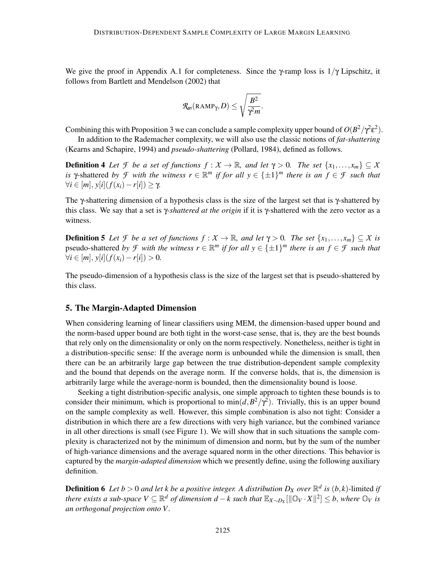We give the proof in Appendix A.1 for completeness. Since the  $\gamma$ -ramp loss is  $1/\gamma$  Lipschitz, it follows from Bartlett and Mendelson (2002) that

$$
\mathcal{R}_m(\text{RAMP}_\gamma,D) \leq \sqrt{\frac{B^2}{\gamma^2 m}}.
$$

Combining this with Proposition 3 we can conclude a sample complexity upper bound of  $O(B^2/\gamma^2 \epsilon^2)$ .

In addition to the Rademacher complexity, we will also use the classic notions of *fat-shattering* (Kearns and Schapire, 1994) and *pseudo-shattering* (Pollard, 1984), defined as follows.

**Definition 4** Let *F* be a set of functions  $f: X \to \mathbb{R}$ , and let  $\gamma > 0$ . The set  $\{x_1, \ldots, x_m\} \subseteq X$ *is*  $\gamma$ -shattered *by*  $\mathcal{F}$  *with the witness*  $r \in \mathbb{R}^m$  *if for all*  $y \in \{\pm 1\}^m$  *there is an*  $f \in \mathcal{F}$  *such that*  $\forall i \in [m], y[i](f(x_i) - r[i]) \geq \gamma.$ 

The γ-shattering dimension of a hypothesis class is the size of the largest set that is γ-shattered by this class. We say that a set is γ*-shattered at the origin* if it is γ-shattered with the zero vector as a witness.

**Definition 5** Let *F* be a set of functions  $f : X \to \mathbb{R}$ , and let  $\gamma > 0$ . The set  $\{x_1, \ldots, x_m\} \subseteq X$  is pseudo-shattered *by*  $\mathcal{F}$  *with the witness*  $r \in \mathbb{R}^m$  *if for all*  $y \in \{\pm 1\}^m$  *there is an*  $f \in \mathcal{F}$  *such that*  $∀i ∈ [m], y[i](f(x_i) - r[i]) > 0.$ 

The pseudo-dimension of a hypothesis class is the size of the largest set that is pseudo-shattered by this class.

## 5. The Margin-Adapted Dimension

When considering learning of linear classifiers using MEM, the dimension-based upper bound and the norm-based upper bound are both tight in the worst-case sense, that is, they are the best bounds that rely only on the dimensionality or only on the norm respectively. Nonetheless, neither is tight in a distribution-specific sense: If the average norm is unbounded while the dimension is small, then there can be an arbitrarily large gap between the true distribution-dependent sample complexity and the bound that depends on the average norm. If the converse holds, that is, the dimension is arbitrarily large while the average-norm is bounded, then the dimensionality bound is loose.

Seeking a tight distribution-specific analysis, one simple approach to tighten these bounds is to consider their minimum, which is proportional to  $\min(d, B^2/\gamma^2)$ . Trivially, this is an upper bound on the sample complexity as well. However, this simple combination is also not tight: Consider a distribution in which there are a few directions with very high variance, but the combined variance in all other directions is small (see Figure 1). We will show that in such situations the sample complexity is characterized not by the minimum of dimension and norm, but by the sum of the number of high-variance dimensions and the average squared norm in the other directions. This behavior is captured by the *margin-adapted dimension* which we presently define, using the following auxiliary definition.

**Definition 6** Let  $b > 0$  and let k be a positive integer. A distribution  $D_X$  over  $\mathbb{R}^d$  is  $(b,k)$ -limited if *there exists a sub-space*  $V ⊆ ℝ<sup>d</sup>$  *of dimension d* − *k such that*  $\mathbb{E}_{X \sim D_X}[\Vert ∅_V · X \Vert^2] ≤ b$ , where  $\mathbb{O}_V$  is *an orthogonal projection onto V .*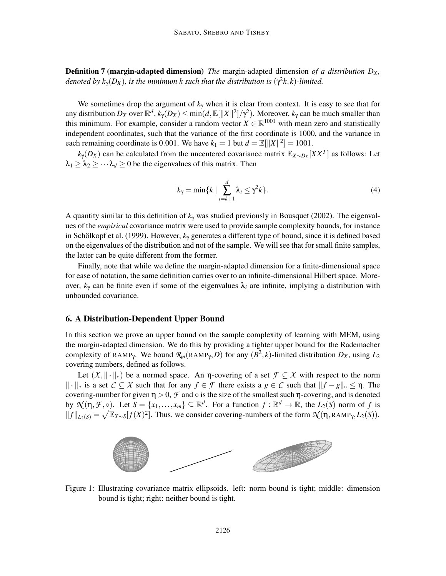Definition 7 (margin-adapted dimension) *The* margin-adapted dimension *of a distribution D<sup>X</sup> ,* denoted by  $k_{\gamma}(D_X)$ , is the minimum k such that the distribution is  $(\gamma^2 k, k)$ -limited.

We sometimes drop the argument of  $k<sub>y</sub>$  when it is clear from context. It is easy to see that for any distribution  $D_X$  over  $\mathbb{R}^d$ ,  $k_\gamma(D_X) \le \min(d, \mathbb{E}[||X||^2]/\gamma^2)$ . Moreover,  $k_\gamma$  can be much smaller than this minimum. For example, consider a random vector  $X \in \mathbb{R}^{1001}$  with mean zero and statistically independent coordinates, such that the variance of the first coordinate is 1000, and the variance in each remaining coordinate is 0.001. We have  $k_1 = 1$  but  $d = \mathbb{E}[\|X\|^2] = 1001$ .

 $k_{\gamma}(D_X)$  can be calculated from the uncentered covariance matrix  $\mathbb{E}_{X \sim D_X}[XX^T]$  as follows: Let  $\lambda_1 \geq \lambda_2 \geq \cdots \lambda_d \geq 0$  be the eigenvalues of this matrix. Then

$$
k_{\gamma} = \min\{k \mid \sum_{i=k+1}^{d} \lambda_i \leq \gamma^2 k\}.
$$
 (4)

A quantity similar to this definition of *k*<sup>γ</sup> was studied previously in Bousquet (2002). The eigenvalues of the *empirical* covariance matrix were used to provide sample complexity bounds, for instance in Schölkopf et al. (1999). However,  $k_{\gamma}$  generates a different type of bound, since it is defined based on the eigenvalues of the distribution and not of the sample. We will see that for small finite samples, the latter can be quite different from the former.

Finally, note that while we define the margin-adapted dimension for a finite-dimensional space for ease of notation, the same definition carries over to an infinite-dimensional Hilbert space. Moreover,  $k_\gamma$  can be finite even if some of the eigenvalues  $\lambda_i$  are infinite, implying a distribution with unbounded covariance.

#### 6. A Distribution-Dependent Upper Bound

In this section we prove an upper bound on the sample complexity of learning with MEM, using the margin-adapted dimension. We do this by providing a tighter upper bound for the Rademacher complexity of RAMP<sub>Y</sub>. We bound  $\mathcal{R}_m$ (RAMP<sub>Y</sub>, *D*) for any  $(B^2, k)$ -limited distribution  $D_X$ , using  $L_2$ covering numbers, defined as follows.

Let  $(X, \|\cdot\|_{\circ})$  be a normed space. An  $\eta$ -covering of a set  $\mathcal{F} \subseteq X$  with respect to the norm  $\|\cdot\|_{\circ}$  is a set  $C \subseteq X$  such that for any  $f \in \mathcal{F}$  there exists a  $g \in C$  such that  $\|f - g\|_{\circ} \leq \eta$ . The covering-number for given  $\eta > 0$ ,  $\mathcal F$  and  $\circ$  is the size of the smallest such  $\eta$ -covering, and is denoted by  $\mathcal{N}(\eta, \mathcal{F}, \circ)$ . Let  $S = \{x_1, \ldots, x_m\} \subseteq \mathbb{R}^d$ . For a function  $f : \mathbb{R}^d \to \mathbb{R}$ , the  $L_2(S)$  norm of f is  $||f||_{L_2(S)} = \sqrt{\mathbb{E}_{X \sim S}[f(X)^2]}$ . Thus, we consider covering-numbers of the form  $\mathcal{N}(\eta, \text{RAMP}_\gamma, L_2(S))$ .



Figure 1: Illustrating covariance matrix ellipsoids. left: norm bound is tight; middle: dimension bound is tight; right: neither bound is tight.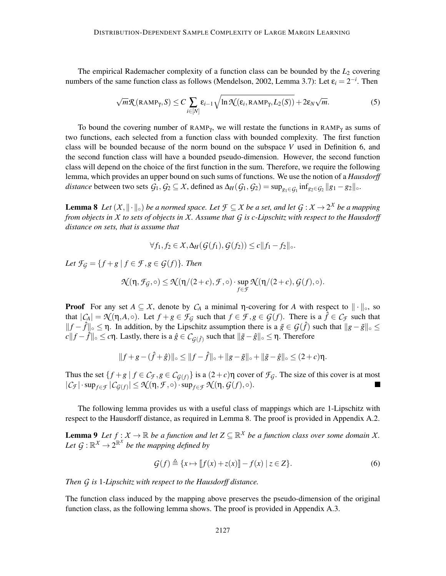The empirical Rademacher complexity of a function class can be bounded by the  $L_2$  covering numbers of the same function class as follows (Mendelson, 2002, Lemma 3.7): Let  $\varepsilon_i = 2^{-i}$ . Then

$$
\sqrt{m}\mathcal{R}(\text{RAMP}_{\gamma}, S) \le C \sum_{i \in [N]} \varepsilon_{i-1} \sqrt{\ln \mathcal{N}(\varepsilon_i, \text{RAMP}_{\gamma}, L_2(S))} + 2\varepsilon_N \sqrt{m}.
$$
 (5)

To bound the covering number of  $RAMP_\gamma$ , we will restate the functions in  $RAMP_\gamma$  as sums of two functions, each selected from a function class with bounded complexity. The first function class will be bounded because of the norm bound on the subspace *V* used in Definition 6, and the second function class will have a bounded pseudo-dimension. However, the second function class will depend on the choice of the first function in the sum. Therefore, we require the following lemma, which provides an upper bound on such sums of functions. We use the notion of a *Hausdorff* distance between two sets  $G_1, G_2 \subseteq X$ , defined as  $\Delta_H(G_1, G_2) = \sup_{g_1 \in G_1} \inf_{g_2 \in G_2} ||g_1 - g_2||_o$ .

**Lemma 8** Let  $(X, \|\cdot\|_{\circ})$  be a normed space. Let  $\mathcal{F} \subseteq X$  be a set, and let  $\mathcal{G} : X \to 2^X$  be a mapping *from objects in X to sets of objects in X. Assume that G is c-Lipschitz with respect to the Hausdorff distance on sets, that is assume that*

$$
\forall f_1, f_2 \in \mathcal{X}, \Delta_H(\mathcal{G}(f_1), \mathcal{G}(f_2)) \le c \|f_1 - f_2\|_{\infty}.
$$

*Let*  $\mathcal{F}_G = \{f + g \mid f \in \mathcal{F}, g \in \mathcal{G}(f)\}.$  Then

$$
\mathcal{N}(\eta,\mathcal{F}_{\mathcal{G}},\circ)\leq \mathcal{N}(\eta/(2+c),\mathcal{F},\circ)\cdot \sup_{f\in\mathcal{F}}\mathcal{N}(\eta/(2+c),\mathcal{G}(f),\circ).
$$

**Proof** For any set  $A \subseteq X$ , denote by  $C_A$  a minimal  $\eta$ -covering for A with respect to  $\|\cdot\|_{\infty}$ , so that  $|C_A| = \mathcal{N}(\eta, A, \circ)$ . Let  $f + g \in \mathcal{F}_G$  such that  $f \in \mathcal{F}, g \in \mathcal{G}(f)$ . There is a  $\hat{f} \in \mathcal{C}_{\mathcal{F}}$  such that *f*  $f \circ f$   $\int_0^1$   $\le$   $\int$   $\in$   $f \circ f$   $\le$   $\int$   $\in$   $f \circ f$   $\le$   $\int$   $\int$   $\in$   $\int$   $\int$   $\in$   $\int$   $\int$   $\le$   $\int$   $\int$   $\int$   $\le$   $\int$   $\int$   $\int$   $\le$   $\int$   $\int$   $\int$   $\le$   $\int$   $\int$   $\int$   $\le$   $\int$   $\int$   $\int$   $\le$   $\int$  *c* $||f - \hat{f}||$ <sub>○</sub> ≤ *c*η. Lastly, there is a  $\hat{g} \in C_{\mathcal{G}(\hat{f})}$  such that  $||\tilde{g} - \hat{g}||$ <sub>○</sub> ≤ η. Therefore

$$
||f+g - (\hat{f}+\hat{g})||_{\circ} \le ||f - \hat{f}||_{\circ} + ||g - \tilde{g}||_{\circ} + ||\tilde{g} - \hat{g}||_{\circ} \le (2+c)\eta.
$$

Thus the set  $\{f+g \mid f \in C_f, g \in C_{G(f)}\}$  is a  $(2+c)\eta$  cover of  $\mathcal{F}_G$ . The size of this cover is at most  $|C_{\sigma}|\cdot \sup_{\sigma \in \mathcal{F}} |C_{G(\sigma)}| < \mathcal{N}(\eta, \mathcal{F}_{\sigma}) \cdot \sup_{\sigma \in \mathcal{F}} \mathcal{N}(\eta, G(f) \circ \sigma)$  $|C_f| \cdot \sup_{f \in \mathcal{F}} |C_{\mathcal{G}(f)}| \leq \mathcal{N}(\eta, \mathcal{F}, \circ) \cdot \sup_{f \in \mathcal{F}} \mathcal{N}(\eta, \mathcal{G}(f), \circ).$ 

The following lemma provides us with a useful class of mappings which are 1-Lipschitz with respect to the Hausdorff distance, as required in Lemma 8. The proof is provided in Appendix A.2.

**Lemma 9** Let  $f: X \to \mathbb{R}$  be a function and let  $Z \subseteq \mathbb{R}^X$  be a function class over some domain X. Let  $G : \mathbb{R}^X \to 2^{\mathbb{R}^X}$  be the mapping defined by

$$
\mathcal{G}(f) \triangleq \{x \mapsto [f(x) + z(x)] - f(x) \mid z \in Z\}.
$$
\n<sup>(6)</sup>

*Then G is* 1*-Lipschitz with respect to the Hausdorff distance.*

The function class induced by the mapping above preserves the pseudo-dimension of the original function class, as the following lemma shows. The proof is provided in Appendix A.3.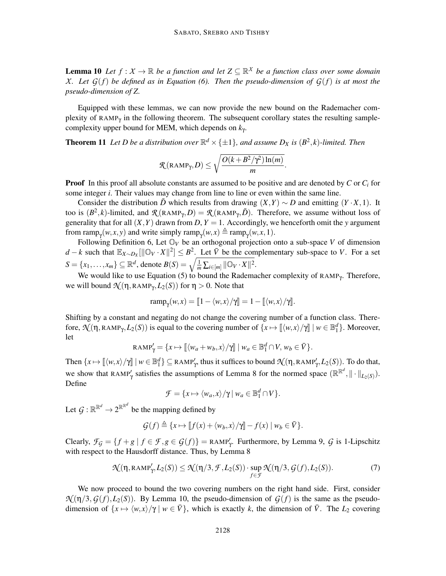**Lemma 10** Let  $f: X \to \mathbb{R}$  be a function and let  $Z \subseteq \mathbb{R}^X$  be a function class over some domain *X.* Let  $G(f)$  be defined as in Equation (6). Then the pseudo-dimension of  $G(f)$  is at most the *pseudo-dimension of Z.*

Equipped with these lemmas, we can now provide the new bound on the Rademacher complexity of RAMP<sub> $\gamma$ </sub> in the following theorem. The subsequent corollary states the resulting samplecomplexity upper bound for MEM, which depends on *k*<sup>γ</sup> .

**Theorem 11** Let D be a distribution over  $\mathbb{R}^d \times {\{\pm 1\}}$ , and assume  $D_X$  is  $(B^2, k)$ -limited. Then

$$
\mathcal{R}(\text{RAMP}_{\gamma}, D) \leq \sqrt{\frac{O(k + B^2/\gamma^2) \ln(m)}{m}}.
$$

**Proof** In this proof all absolute constants are assumed to be positive and are denoted by  $C$  or  $C_i$  for some integer *i*. Their values may change from line to line or even within the same line.

Consider the distribution  $\vec{D}$  which results from drawing  $(X, Y) \sim D$  and emitting  $(Y \cdot X, 1)$ . It too is  $(B^2, k)$ -limited, and  $\mathcal{R}(\text{RAMP}_\gamma, D) = \mathcal{R}(\text{RAMP}_\gamma, \tilde{D})$ . Therefore, we assume without loss of generality that for all  $(X, Y)$  drawn from *D*,  $Y = 1$ . Accordingly, we henceforth omit the *y* argument from ramp<sub>γ</sub>(*w*,*x*, *y*) and write simply ramp<sub>γ</sub>(*w*,*x*)  $\triangleq$  ramp<sub>γ</sub>(*w*,*x*, 1).

Following Definition 6, Let  $\mathbb{O}_V$  be an orthogonal projection onto a sub-space *V* of dimension *d* − *k* such that  $\mathbb{E}_{X \sim D_X}[\|\mathbb{O}_V \cdot X\|^2] \leq B^2$ . Let  $\bar{V}$  be the complementary sub-space to *V*. For a set  $S = \{x_1, ..., x_m\} \subseteq \mathbb{R}^d$ , denote  $B(S) = \sqrt{\frac{1}{m} \sum_{i \in [m]} ||\mathbb{O}_V \cdot X||^2}$ .

We would like to use Equation (5) to bound the Rademacher complexity of  $RAMP_{\gamma}$ . Therefore, we will bound  $\mathcal{N}(\eta, \text{RAMP}_\gamma, L_2(S))$  for  $\eta > 0$ . Note that

$$
\operatorname{ramp}_\gamma(w,x) = \llbracket 1 - \langle w, x \rangle / \gamma \rrbracket = 1 - \llbracket \langle w, x \rangle / \gamma \rrbracket.
$$

Shifting by a constant and negating do not change the covering number of a function class. Therefore,  $\mathcal{N}(\eta, \text{RAMP}_\gamma, L_2(S))$  is equal to the covering number of  $\{x \mapsto \llbracket \langle w, x \rangle / \gamma \rrbracket \mid w \in \mathbb{B}^d_1\}$ . Moreover, let

$$
RAMP'_{\gamma} = \{x \mapsto [[\langle w_a + w_b, x \rangle / \gamma]] \mid w_a \in \mathbb{B}_1^d \cap V, w_b \in \overline{V}\}.
$$

Then  $\{x \mapsto \llbracket \langle w, x \rangle / \gamma \rrbracket \mid w \in \mathbb{B}^d_1\} \subseteq \text{RAMP}'_{\gamma}$ , thus it suffices to bound  $\mathcal{N}(\eta, \text{RAMP}'_{\gamma}, L_2(S))$ . To do that, we show that RAMP<sup>'</sup><sub> $\gamma$ </sub> satisfies the assumptions of Lemma 8 for the normed space  $(\mathbb{R}^{\mathbb{R}^d}, \|\cdot\|_{L_2(S)})$ . Define

$$
\mathcal{F} = \{x \mapsto \langle w_a, x \rangle / \gamma \, | \, w_a \in \mathbb{B}_1^d \cap V\}.
$$

Let  $\mathcal{G}: \mathbb{R}^{\mathbb{R}^d} \to 2^{\mathbb{R}^{\mathbb{R}^d}}$  be the mapping defined by

$$
\mathcal{G}(f) \triangleq \{x \mapsto [f(x) + \langle w_b, x \rangle / \mathcal{Y}] - f(x) \mid w_b \in \overline{V}\}.
$$

Clearly,  $\mathcal{F}_\mathcal{G} = \{f + g \mid f \in \mathcal{F}, g \in \mathcal{G}(f)\} = \text{RAMP}_\gamma'$ . Furthermore, by Lemma 9,  $\mathcal{G}$  is 1-Lipschitz with respect to the Hausdorff distance. Thus, by Lemma 8

$$
\mathcal{N}(\eta, \text{RAMP}'_{\gamma}, L_2(S)) \leq \mathcal{N}(\eta/3, \mathcal{F}, L_2(S)) \cdot \sup_{f \in \mathcal{F}} \mathcal{N}(\eta/3, \mathcal{G}(f), L_2(S)).
$$
\n(7)

We now proceed to bound the two covering numbers on the right hand side. First, consider  $\mathcal{N}(\eta/3, G(f), L_2(S))$ . By Lemma 10, the pseudo-dimension of  $G(f)$  is the same as the pseudodimension of  $\{x \mapsto \langle w, x \rangle / \gamma \mid w \in \overline{V}\}$ , which is exactly *k*, the dimension of  $\overline{V}$ . The  $L_2$  covering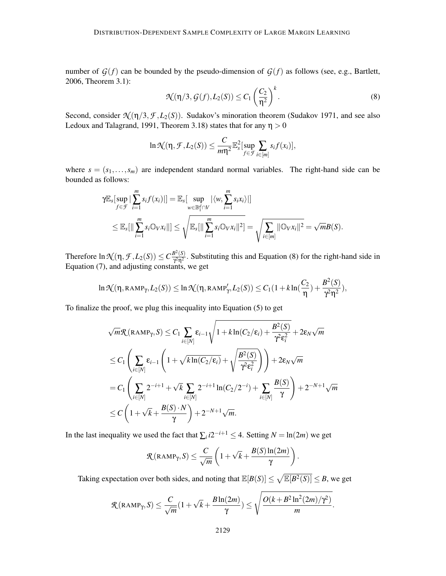number of  $G(f)$  can be bounded by the pseudo-dimension of  $G(f)$  as follows (see, e.g., Bartlett, 2006, Theorem 3.1):

$$
\mathcal{N}(\eta/3, \mathcal{G}(f), L_2(S)) \le C_1 \left(\frac{C_2}{\eta^2}\right)^k.
$$
\n(8)

Second, consider  $\mathcal{N}(\eta/3, \mathcal{F}, L_2(S))$ . Sudakov's minoration theorem (Sudakov 1971, and see also Ledoux and Talagrand, 1991, Theorem 3.18) states that for any  $\eta > 0$ 

$$
\ln \mathcal{N}(\eta, \mathcal{F}, L_2(S)) \leq \frac{C}{m\eta^2} \mathbb{E}_s^2[\sup_{f \in \mathcal{F}} \sum_{i \in [m]} s_i f(x_i)],
$$

where  $s = (s_1, \ldots, s_m)$  are independent standard normal variables. The right-hand side can be bounded as follows:

$$
\mathbb{Y} \mathbb{E}_{s}[\sup_{f \in \mathcal{F}} |\sum_{i=1}^{m} s_{i} f(x_{i})|] = \mathbb{E}_{s}[\sup_{w \in \mathbb{B}_{1}^{d} \cap V} |\langle w, \sum_{i=1}^{m} s_{i} x_{i} \rangle|]
$$
  

$$
\leq \mathbb{E}_{s}[\|\sum_{i=1}^{m} s_{i} \mathbb{O}_{V} x_{i}\|] \leq \sqrt{\mathbb{E}_{s}[\|\sum_{i=1}^{m} s_{i} \mathbb{O}_{V} x_{i}\|^{2}]} = \sqrt{\sum_{i \in [m]} \|\mathbb{O}_{V} x_{i}\|^{2}} = \sqrt{m}B(S).
$$

Therefore  $\ln \mathcal{N}(\eta, \mathcal{F}, L_2(S)) \leq C \frac{B^2(S)}{\gamma^2 \eta^2}$  $\frac{\partial^2 S(s)}{\partial^2 n^2}$ . Substituting this and Equation (8) for the right-hand side in Equation (7), and adjusting constants, we get

$$
\ln\mathcal{N}(\eta,\text{RAMP}_\gamma,L_2(S))\leq \ln\mathcal{N}(\eta,\text{RAMP}_\gamma',L_2(S))\leq C_1(1+k\ln(\frac{C_2}{\eta})+\frac{B^2(S)}{\gamma^2\eta^2}),
$$

To finalize the proof, we plug this inequality into Equation (5) to get

$$
\sqrt{m}\mathcal{R}(\text{RAMP}_{\gamma}, S) \leq C_1 \sum_{i \in [N]} \varepsilon_{i-1} \sqrt{1 + k \ln(C_2/\varepsilon_i) + \frac{B^2(S)}{\gamma^2 \varepsilon_i^2}} + 2\varepsilon_N \sqrt{m}
$$
  
\n
$$
\leq C_1 \left( \sum_{i \in [N]} \varepsilon_{i-1} \left( 1 + \sqrt{k \ln(C_2/\varepsilon_i)} + \sqrt{\frac{B^2(S)}{\gamma^2 \varepsilon_i^2}} \right) \right) + 2\varepsilon_N \sqrt{m}
$$
  
\n
$$
= C_1 \left( \sum_{i \in [N]} 2^{-i+1} + \sqrt{k} \sum_{i \in [N]} 2^{-i+1} \ln(C_2/2^{-i}) + \sum_{i \in [N]} \frac{B(S)}{\gamma} \right) + 2^{-N+1} \sqrt{m}
$$
  
\n
$$
\leq C \left( 1 + \sqrt{k} + \frac{B(S) \cdot N}{\gamma} \right) + 2^{-N+1} \sqrt{m}.
$$

In the last inequality we used the fact that  $\sum_{i} i2^{-i+1} \leq 4$ . Setting  $N = \ln(2m)$  we get

$$
\mathcal{R}(\text{RAMP}_{\gamma}, S) \leq \frac{C}{\sqrt{m}} \left(1 + \sqrt{k} + \frac{B(S) \ln(2m)}{\gamma} \right).
$$

Taking expectation over both sides, and noting that  $\mathbb{E}[B(S)] \leq \sqrt{\mathbb{E}[B^2(S)]} \leq B$ , we get

$$
\mathcal{R}(\text{RAMP}_\gamma,S) \leq \frac{C}{\sqrt{m}}(1+\sqrt{k}+\frac{B\ln(2m)}{\gamma}) \leq \sqrt{\frac{O(k+B^2\ln^2(2m)/\gamma^2)}{m}}.
$$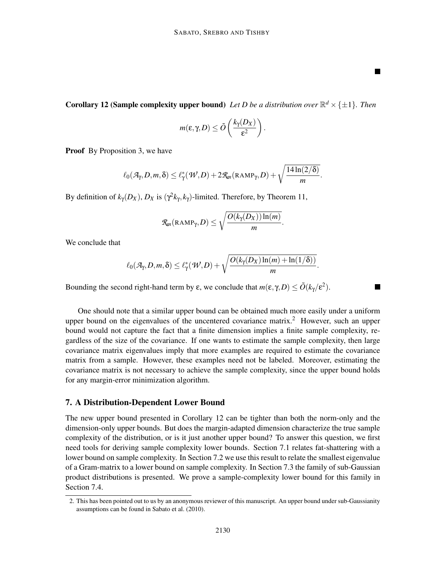$\blacksquare$ 

**The Second** 

**Corollary 12 (Sample complexity upper bound)** Let D be a distribution over  $\mathbb{R}^d \times {\{\pm 1\}}$ . Then

$$
m(\varepsilon,\gamma,D)\leq \tilde{O}\left(\frac{k_\gamma(D_X)}{\varepsilon^2}\right).
$$

**Proof** By Proposition 3, we have

$$
\ell_0(\mathcal{A}_\gamma,D,m,\delta) \leq \ell_\gamma^*(\mathcal{W},D) + 2\mathcal{R}_m(\text{RAMP}_\gamma,D) + \sqrt{\frac{14\ln(2/\delta)}{m}}.
$$

By definition of  $k_{\gamma}(D_X)$ ,  $D_X$  is  $(\gamma^2 k_{\gamma}, k_{\gamma})$ -limited. Therefore, by Theorem 11,

$$
\mathcal{R}_m(\text{RAMP}_\gamma,D) \leq \sqrt{\frac{O(k_\gamma(D_X))\ln(m)}{m}}.
$$

We conclude that

$$
\ell_0(\mathcal{A}_\gamma,D,m,\delta)\leq \ell_\gamma^*(\mathcal{W},D)+\sqrt{\frac{O(k_\gamma(D_X)\ln(m)+\ln(1/\delta))}{m}}.
$$

Bounding the second right-hand term by  $\varepsilon$ , we conclude that  $m(\varepsilon, \gamma, D) \le \tilde{O}(k_{\gamma}/\varepsilon^2)$ .

One should note that a similar upper bound can be obtained much more easily under a uniform upper bound on the eigenvalues of the uncentered covariance matrix.<sup>2</sup> However, such an upper bound would not capture the fact that a finite dimension implies a finite sample complexity, regardless of the size of the covariance. If one wants to estimate the sample complexity, then large covariance matrix eigenvalues imply that more examples are required to estimate the covariance matrix from a sample. However, these examples need not be labeled. Moreover, estimating the covariance matrix is not necessary to achieve the sample complexity, since the upper bound holds for any margin-error minimization algorithm.

### 7. A Distribution-Dependent Lower Bound

The new upper bound presented in Corollary 12 can be tighter than both the norm-only and the dimension-only upper bounds. But does the margin-adapted dimension characterize the true sample complexity of the distribution, or is it just another upper bound? To answer this question, we first need tools for deriving sample complexity lower bounds. Section 7.1 relates fat-shattering with a lower bound on sample complexity. In Section 7.2 we use this result to relate the smallest eigenvalue of a Gram-matrix to a lower bound on sample complexity. In Section 7.3 the family of sub-Gaussian product distributions is presented. We prove a sample-complexity lower bound for this family in Section 7.4.

<sup>2.</sup> This has been pointed out to us by an anonymous reviewer of this manuscript. An upper bound under sub-Gaussianity assumptions can be found in Sabato et al. (2010).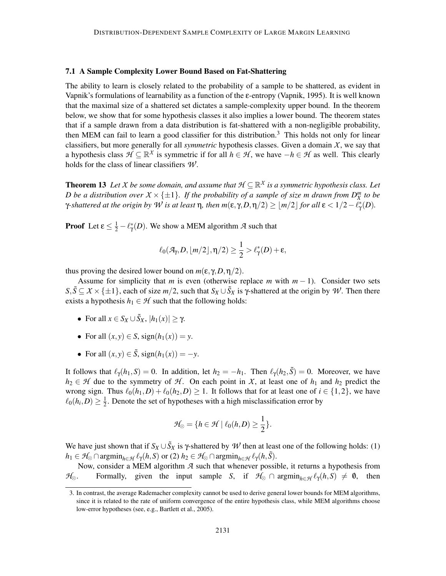#### 7.1 A Sample Complexity Lower Bound Based on Fat-Shattering

The ability to learn is closely related to the probability of a sample to be shattered, as evident in Vapnik's formulations of learnability as a function of the ε-entropy (Vapnik, 1995). It is well known that the maximal size of a shattered set dictates a sample-complexity upper bound. In the theorem below, we show that for some hypothesis classes it also implies a lower bound. The theorem states that if a sample drawn from a data distribution is fat-shattered with a non-negligible probability, then MEM can fail to learn a good classifier for this distribution.<sup>3</sup> This holds not only for linear classifiers, but more generally for all *symmetric* hypothesis classes. Given a domain  $X$ , we say that a hypothesis class  $\mathcal{H} \subseteq \mathbb{R}^{\chi}$  is symmetric if for all  $h \in \mathcal{H}$ , we have  $-h \in \mathcal{H}$  as well. This clearly holds for the class of linear classifiers *W* .

**Theorem 13** Let *X* be some domain, and assume that  $\mathcal{H} \subseteq \mathbb{R}^X$  is a symmetric hypothesis class. Let *D* be a distribution over  $X \times \{\pm 1\}$ . If the probability of a sample of size m drawn from  $D_X^m$  to be γ-shattered at the origin by  $W$  is at least  $η$ , then  $m(\varepsilon, γ, D, η/2) \geq \lfloor m/2 \rfloor$  for all  $\varepsilon < 1/2 - \ell^*_γ(D)$ .

**Proof** Let  $\epsilon \leq \frac{1}{2} - \ell^*_{\gamma}(D)$ . We show a MEM algorithm *A* such that

$$
\ell_0(\mathcal{A}_{\gamma}, D, \lfloor m/2 \rfloor, \eta/2) \geq \frac{1}{2} > \ell_{\gamma}^*(D) + \varepsilon,
$$

thus proving the desired lower bound on  $m(\epsilon, \gamma, D, \eta/2)$ .

Assume for simplicity that *m* is even (otherwise replace *m* with *m* − 1). Consider two sets  $S, \tilde{S} \subseteq X \times \{\pm 1\}$ , each of size  $m/2$ , such that  $S_X \cup \tilde{S}_X$  is  $\gamma$ -shattered at the origin by *W*. Then there exists a hypothesis  $h_1 \in \mathcal{H}$  such that the following holds:

- For all  $x \in S_X \cup \tilde{S}_X$ ,  $|h_1(x)| \ge \gamma$ .
- For all  $(x, y) \in S$ , sign $(h_1(x)) = y$ .
- For all  $(x, y) \in \tilde{S}$ , sign $(h_1(x)) = -y$ .

It follows that  $\ell_{\gamma}(h_1, S) = 0$ . In addition, let  $h_2 = -h_1$ . Then  $\ell_{\gamma}(h_2, \tilde{S}) = 0$ . Moreover, we have  $h_2 \in \mathcal{H}$  due to the symmetry of  $\mathcal{H}$ . On each point in *X*, at least one of  $h_1$  and  $h_2$  predict the wrong sign. Thus  $\ell_0(h_1, D) + \ell_0(h_2, D) \ge 1$ . It follows that for at least one of  $i \in \{1, 2\}$ , we have  $\ell_0(h_i,D) \geq \frac{1}{2}$  $\frac{1}{2}$ . Denote the set of hypotheses with a high misclassification error by

$$
\mathcal{H}_{\otimes} = \{ h \in \mathcal{H} \mid \ell_0(h, D) \geq \frac{1}{2} \}.
$$

We have just shown that if  $S_X \cup \tilde{S}_X$  is  $\gamma$ -shattered by  $\mathcal W$  then at least one of the following holds: (1)  $h_1 \in \mathcal{H}_{\otimes} \cap \operatorname{argmin}_{h \in \mathcal{H}} \ell_{\gamma}(h, S)$  or (2)  $h_2 \in \mathcal{H}_{\otimes} \cap \operatorname{argmin}_{h \in \mathcal{H}} \ell_{\gamma}(h, \tilde{S})$ .

Now, consider a MEM algorithm *A* such that whenever possible, it returns a hypothesis from *H*⊗. Formally, given the input sample *S*, if  $H_{\otimes} \cap \operatorname{argmin}_{h \in \mathcal{H}} \ell_{\gamma}(h, S) \neq \emptyset$ , then

<sup>3.</sup> In contrast, the average Rademacher complexity cannot be used to derive general lower bounds for MEM algorithms, since it is related to the rate of uniform convergence of the entire hypothesis class, while MEM algorithms choose low-error hypotheses (see, e.g., Bartlett et al., 2005).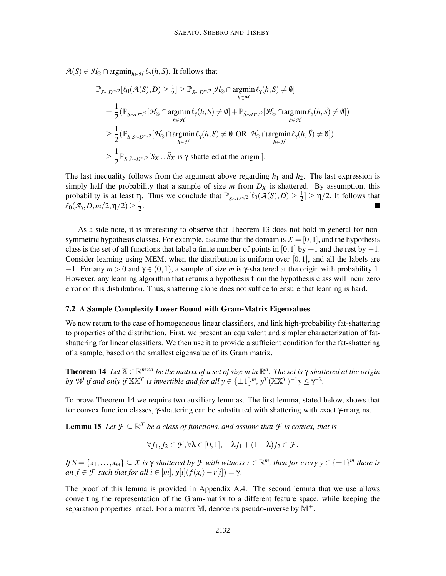$A(S) \in H_{\otimes} \cap \operatorname{argmin}_{h \in \mathcal{H}} \ell_{\gamma}(h, S)$ . It follows that

$$
\mathbb{P}_{S \sim D^{m/2}}[\ell_0(\mathcal{A}(S), D) \ge \frac{1}{2}] \ge \mathbb{P}_{S \sim D^{m/2}}[\mathcal{H}_{\otimes} \cap \operatorname*{argmin}_{h \in \mathcal{H}} \ell_{\gamma}(h, S) \neq \emptyset]
$$
\n
$$
= \frac{1}{2} (\mathbb{P}_{S \sim D^{m/2}}[\mathcal{H}_{\otimes} \cap \operatorname*{argmin}_{h \in \mathcal{H}} \ell_{\gamma}(h, S) \neq \emptyset] + \mathbb{P}_{\tilde{S} \sim D^{m/2}}[\mathcal{H}_{\otimes} \cap \operatorname*{argmin}_{h \in \mathcal{H}} \ell_{\gamma}(h, \tilde{S}) \neq \emptyset])
$$
\n
$$
\ge \frac{1}{2} (\mathbb{P}_{S, \tilde{S} \sim D^{m/2}}[\mathcal{H}_{\otimes} \cap \operatorname*{argmin}_{h \in \mathcal{H}} \ell_{\gamma}(h, S) \neq \emptyset \text{ OR } \mathcal{H}_{\otimes} \cap \operatorname*{argmin}_{h \in \mathcal{H}} \ell_{\gamma}(h, \tilde{S}) \neq \emptyset])
$$
\n
$$
\ge \frac{1}{2} \mathbb{P}_{S, \tilde{S} \sim D^{m/2}}[S_X \cup \tilde{S}_X \text{ is } \gamma \text{-shattered at the origin }].
$$

The last inequality follows from the argument above regarding  $h_1$  and  $h_2$ . The last expression is simply half the probability that a sample of size  $m$  from  $D_X$  is shattered. By assumption, this probability is at least  $\eta$ . Thus we conclude that  $\mathbb{P}_{S \sim D^{m/2}}[\ell_0(\mathcal{A}(S), D) \ge \frac{1}{2}]$  $\frac{1}{2}$   $\geq \frac{\eta}{2}$ . It follows that  $\ell_0(\mathcal{A}_\gamma,D,m/2,\eta/2)\geq \frac{1}{2}$  $rac{1}{2}$ .

As a side note, it is interesting to observe that Theorem 13 does not hold in general for nonsymmetric hypothesis classes. For example, assume that the domain is  $X = [0, 1]$ , and the hypothesis class is the set of all functions that label a finite number of points in [0,1] by +1 and the rest by  $-1$ . Consider learning using MEM, when the distribution is uniform over  $[0,1]$ , and all the labels are  $-1$ . For any  $m > 0$  and  $\gamma \in (0,1)$ , a sample of size *m* is γ-shattered at the origin with probability 1. However, any learning algorithm that returns a hypothesis from the hypothesis class will incur zero error on this distribution. Thus, shattering alone does not suffice to ensure that learning is hard.

#### 7.2 A Sample Complexity Lower Bound with Gram-Matrix Eigenvalues

We now return to the case of homogeneous linear classifiers, and link high-probability fat-shattering to properties of the distribution. First, we present an equivalent and simpler characterization of fatshattering for linear classifiers. We then use it to provide a sufficient condition for the fat-shattering of a sample, based on the smallest eigenvalue of its Gram matrix.

**Theorem 14** Let  $\mathbb{X} \in \mathbb{R}^{m \times d}$  be the matrix of a set of size m in  $\mathbb{R}^d$ . The set is  $\gamma$ -shattered at the origin *by W if and only if*  $X X^T$  *is invertible and for all*  $y \in {\{\pm 1\}}^m$ ,  $y^T (XX^T)^{-1} y \leq \gamma^{-2}$ *.* 

To prove Theorem 14 we require two auxiliary lemmas. The first lemma, stated below, shows that for convex function classes, γ-shattering can be substituted with shattering with exact γ-margins.

**Lemma 15** Let  $\mathcal{F} \subseteq \mathbb{R}^X$  *be a class of functions, and assume that*  $\mathcal{F}$  *is convex, that is* 

$$
\forall f_1, f_2 \in \mathcal{F}, \forall \lambda \in [0,1], \quad \lambda f_1 + (1-\lambda)f_2 \in \mathcal{F}.
$$

 $\mathcal{L} \{fS = \{x_1, \ldots, x_m\} \subseteq \mathcal{X}$  is  $\gamma$ -shattered by  $\mathcal{F}$  with witness  $r \in \mathbb{R}^m$ , then for every  $y \in \{\pm 1\}^m$  there is  $an f \in \mathcal{F}$  *such that for all i*  $\in [m], y[i](f(x_i) - r[i]) = \gamma$ .

The proof of this lemma is provided in Appendix A.4. The second lemma that we use allows converting the representation of the Gram-matrix to a different feature space, while keeping the separation properties intact. For a matrix  $M$ , denote its pseudo-inverse by  $M^+$ .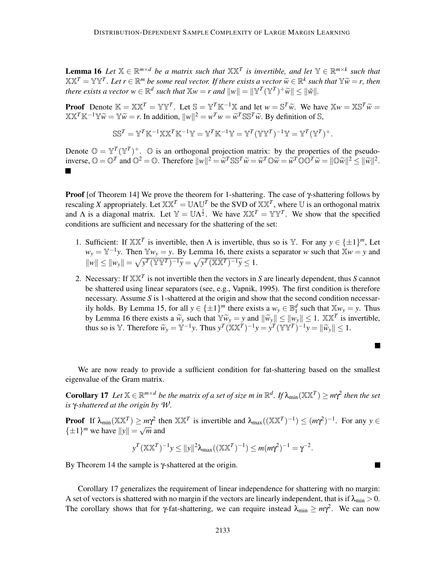**Lemma 16** Let  $\mathbb{X} \in \mathbb{R}^{m \times d}$  be a matrix such that  $\mathbb{X} \mathbb{X}^T$  is invertible, and let  $\mathbb{Y} \in \mathbb{R}^{m \times k}$  such that  $\mathbb{X}\mathbb{X}^T = \mathbb{Y}\mathbb{Y}^T$ . Let  $r \in \mathbb{R}^m$  be some real vector. If there exists a vector  $\widetilde{w} \in \mathbb{R}^k$  such that  $\mathbb{Y}\widetilde{w} = r$ , then *there exists a vector*  $w \in \mathbb{R}^d$  *such that*  $\mathbb{X}w = r$  *and*  $||w|| = ||\mathbb{Y}^T(\mathbb{Y}^T)^+ \tilde{w}|| \leq ||\tilde{w}||$ .

**Proof** Denote  $\mathbb{K} = \mathbb{X}\mathbb{X}^T = \mathbb{Y}\mathbb{Y}^T$ . Let  $\mathbb{S} = \mathbb{Y}^T\mathbb{K}^{-1}\mathbb{X}$  and let  $w = \mathbb{S}^T\widetilde{w}$ . We have  $\mathbb{X}w = \mathbb{X}\mathbb{S}^T\widetilde{w} =$ <br> $\mathbb{X}\mathbb{X}^T\mathbb{X}^{-1}\mathbb{X}^T = \mathbb{X}^T\mathbb{X}$ . Let  $\mathbb{S} = \mathbb$  $\mathbb{X}\mathbb{X}^T\mathbb{K}^{-1}\mathbb{Y}\tilde{w} = \mathbb{Y}\tilde{w} = r$ . In addition,  $||w||^2 = w^T w = \tilde{w}^T \mathbb{S} \mathbb{S}^T \tilde{w}$ . By definition of S,

$$
\mathbb{S}\mathbb{S}^T = \mathbb{Y}^T\mathbb{K}^{-1}\mathbb{X}\mathbb{X}^T\mathbb{K}^{-1}\mathbb{Y} = \mathbb{Y}^T\mathbb{K}^{-1}\mathbb{Y} = \mathbb{Y}^T(\mathbb{Y}\mathbb{Y}^T)^{-1}\mathbb{Y} = \mathbb{Y}^T(\mathbb{Y}^T)^+.
$$

Denote  $\mathbb{O} = \mathbb{Y}^T(\mathbb{Y}^T)^+$ .  $\mathbb{O}$  is an orthogonal projection matrix: by the properties of the pseudoinverse,  $\mathbb{O} = \mathbb{O}^T$  and  $\mathbb{O}^2 = \mathbb{O}$ . Therefore  $||w||^2 = \widetilde{w}^T \mathbb{S} \mathbb{S}^T \widetilde{w} = \widetilde{w}^T \mathbb{O} \widetilde{w} = \widetilde{w}^T \mathbb{O} \mathbb{O}^T \widetilde{w} = ||\mathbb{O} \widetilde{w}||^2 \leq ||\widetilde{w}||^2$ . П

**Proof** [of Theorem 14] We prove the theorem for 1-shattering. The case of  $\gamma$ -shattering follows by rescaling *X* appropriately. Let  $X X^T = U \Lambda U^T$  be the SVD of  $X X^T$ , where U is an orthogonal matrix and  $\Lambda$  is a diagonal matrix. Let  $\mathbb{Y} = \mathbb{U}\Lambda^{\frac{1}{2}}$ . We have  $\mathbb{X}\mathbb{X}^T = \mathbb{Y}\mathbb{Y}^T$ . We show that the specified conditions are sufficient and necessary for the shattering of the set:

- 1. Sufficient: If  $X \times T$  is invertible, then  $\Lambda$  is invertible, thus so is Y. For any  $y \in {\{\pm 1\}}^m$ , Let  $w_y = Y^{-1}y$ . Then  $Yw_y = y$ . By Lemma 16, there exists a separator *w* such that  $Xw = y$  and  $||w|| \le ||w_y|| = \sqrt{y^T (\mathbb{Y} \mathbb{Y}^T)^{-1} y} = \sqrt{y^T (\mathbb{X} \mathbb{X}^T)^{-1} y} \le 1.$
- 2. Necessary: If XX*<sup>T</sup>* is not invertible then the vectors in *S* are linearly dependent, thus *S* cannot be shattered using linear separators (see, e.g., Vapnik, 1995). The first condition is therefore necessary. Assume *S* is 1-shattered at the origin and show that the second condition necessarily holds. By Lemma 15, for all  $y \in {\pm 1}^m$  there exists a  $w_y \in \mathbb{B}_1^d$  such that  $\mathbb{X}w_y = y$ . Thus by Lemma 16 there exists a  $\widetilde{w}_y$  such that  $\mathbb{Y}\widetilde{w}_y = y$  and  $\|\widetilde{w}_y\| \le \|w_y\| \le 1$ .  $\mathbb{X}\mathbb{X}^T$  is invertible, thus so is Y. Therefore  $\widetilde{w}_y = \mathbb{Y}^{-1}y$ . Thus  $y^T (\mathbb{X} \mathbb{X}^T)^{-1} y = y^T (\mathbb{Y} \mathbb{Y}^T)^{-1} y = ||\widetilde{w}_y|| \le 1$ .

We are now ready to provide a sufficient condition for fat-shattering based on the smallest eigenvalue of the Gram matrix.

**Corollary 17** Let  $X \in \mathbb{R}^{m \times d}$  be the matrix of a set of size m in  $\mathbb{R}^d$ . If  $\lambda_{\min}(\mathbb{X} \mathbb{X}^T) \ge m\gamma^2$  then the set *is* γ*-shattered at the origin by W .*

**Proof** If  $\lambda_{\min}(\mathbb{X}\mathbb{X}^T) \geq m\gamma^2$  then  $\mathbb{X}\mathbb{X}^T$  is invertible and  $\lambda_{\max}((\mathbb{X}\mathbb{X}^T)^{-1}) \leq (m\gamma^2)^{-1}$ . For any  $y \in$  $\{\pm 1\}^m$  we have  $||y|| = \sqrt{m}$  and

$$
y^T (XX^T)^{-1} y \le ||y||^2 \lambda_{\max} ((XX^T)^{-1}) \le m(m\gamma^2)^{-1} = \gamma^{-2}.
$$

By Theorem 14 the sample is γ-shattered at the origin.

Corollary 17 generalizes the requirement of linear independence for shattering with no margin: A set of vectors is shattered with no margin if the vectors are linearly independent, that is if  $\lambda_{\min} > 0$ . The corollary shows that for  $\gamma$ -fat-shattering, we can require instead  $\lambda_{\min} \ge m\gamma^2$ . We can now

H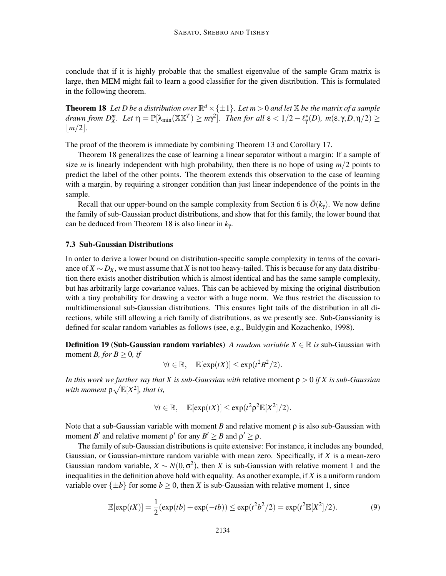conclude that if it is highly probable that the smallest eigenvalue of the sample Gram matrix is large, then MEM might fail to learn a good classifier for the given distribution. This is formulated in the following theorem.

**Theorem 18** Let D be a distribution over  $\mathbb{R}^d \times \{\pm 1\}$ . Let  $m > 0$  and let  $\mathbb{X}$  be the matrix of a sample *drawn from*  $D^m_X$ *. Let*  $\eta = \mathbb{P}[\lambda_{\min}(\mathbb{X} \mathbb{X}^T) \ge m\gamma^2]$ . Then for all  $\epsilon < 1/2 - \ell^*_\gamma(D)$ ,  $m(\epsilon, \gamma, D, \eta/2) \ge$  $|m/2|$ .

The proof of the theorem is immediate by combining Theorem 13 and Corollary 17.

Theorem 18 generalizes the case of learning a linear separator without a margin: If a sample of size *m* is linearly independent with high probability, then there is no hope of using  $m/2$  points to predict the label of the other points. The theorem extends this observation to the case of learning with a margin, by requiring a stronger condition than just linear independence of the points in the sample.

Recall that our upper-bound on the sample complexity from Section 6 is  $\tilde{O}(k_y)$ . We now define the family of sub-Gaussian product distributions, and show that for this family, the lower bound that can be deduced from Theorem 18 is also linear in *k*<sup>γ</sup> .

#### 7.3 Sub-Gaussian Distributions

In order to derive a lower bound on distribution-specific sample complexity in terms of the covariance of  $X \sim D_X$ , we must assume that *X* is not too heavy-tailed. This is because for any data distribution there exists another distribution which is almost identical and has the same sample complexity, but has arbitrarily large covariance values. This can be achieved by mixing the original distribution with a tiny probability for drawing a vector with a huge norm. We thus restrict the discussion to multidimensional sub-Gaussian distributions. This ensures light tails of the distribution in all directions, while still allowing a rich family of distributions, as we presently see. Sub-Gaussianity is defined for scalar random variables as follows (see, e.g., Buldygin and Kozachenko, 1998).

**Definition 19 (Sub-Gaussian random variables)** *A random variable X*  $\in \mathbb{R}$  *is* sub-Gaussian with moment *B*, for  $B \geq 0$ , if

$$
\forall t \in \mathbb{R}, \quad \mathbb{E}[\exp(tX)] \leq \exp(t^2 B^2/2).
$$

*In this work we further say that X is sub-Gaussian with* relative moment ρ > 0 *if X is sub-Gaussian* with moment  $\rho \sqrt{\mathbb{E}[X^2]}$ , that is,

$$
\forall t \in \mathbb{R}, \quad \mathbb{E}[\exp(tX)] \leq \exp(t^2 \rho^2 \mathbb{E}[X^2]/2).
$$

Note that a sub-Gaussian variable with moment *B* and relative moment  $\rho$  is also sub-Gaussian with moment *B'* and relative moment  $\rho'$  for any  $B' \geq B$  and  $\rho' \geq \rho$ .

The family of sub-Gaussian distributions is quite extensive: For instance, it includes any bounded, Gaussian, or Gaussian-mixture random variable with mean zero. Specifically, if *X* is a mean-zero Gaussian random variable,  $X \sim N(0, \sigma^2)$ , then *X* is sub-Gaussian with relative moment 1 and the inequalities in the definition above hold with equality. As another example, if *X* is a uniform random variable over  $\{\pm b\}$  for some  $b \ge 0$ , then *X* is sub-Gaussian with relative moment 1, since

$$
\mathbb{E}[\exp(tX)] = \frac{1}{2}(\exp(tb) + \exp(-tb)) \le \exp(t^2 b^2 / 2) = \exp(t^2 \mathbb{E}[X^2] / 2).
$$
 (9)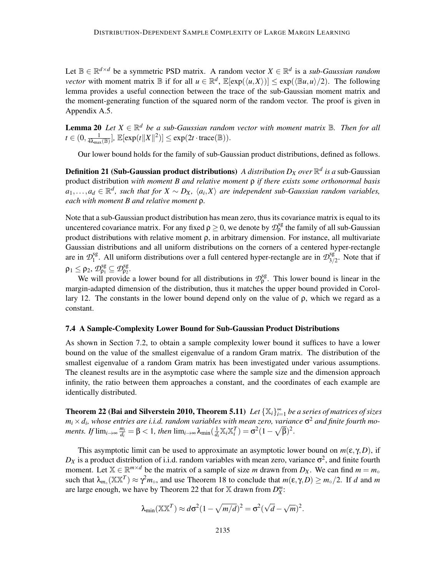Let  $\mathbb{B} \in \mathbb{R}^{d \times d}$  be a symmetric PSD matrix. A random vector  $X \in \mathbb{R}^d$  is a *sub-Gaussian random vector* with moment matrix  $\mathbb B$  if for all  $u \in \mathbb R^d$ ,  $\mathbb E[\exp(\langle u, X \rangle)] \leq \exp(\langle \mathbb B u, u \rangle/2)$ . The following lemma provides a useful connection between the trace of the sub-Gaussian moment matrix and the moment-generating function of the squared norm of the random vector. The proof is given in Appendix A.5.

**Lemma 20** Let  $X \in \mathbb{R}^d$  be a sub-Gaussian random vector with moment matrix  $\mathbb{B}$ . Then for all  $t \in (0, \frac{1}{4\lambda_{\max}(\mathbb{B})}], \mathbb{E}[\exp(t\|X\|^2)] \leq \exp(2t \cdot \text{trace}(\mathbb{B})).$ 

Our lower bound holds for the family of sub-Gaussian product distributions, defined as follows.

Definition 21 (Sub-Gaussian product distributions) *A distribution D<sup>X</sup> over* R *d is a* sub-Gaussian product distribution *with moment B and relative moment* ρ *if there exists some orthonormal basis*  $a_1, \ldots, a_d$  ∈  $\mathbb{R}^d$ , such that for  $X \sim D_X$ ,  $\langle a_i, X \rangle$  are independent sub-Gaussian random variables, *each with moment B and relative moment* ρ*.*

Note that a sub-Gaussian product distribution has mean zero, thus its covariance matrix is equal to its uncentered covariance matrix. For any fixed  $\rho \ge 0$ , we denote by  $\mathcal{D}_{\rho}^{sg}$  the family of all sub-Gaussian product distributions with relative moment ρ, in arbitrary dimension. For instance, all multivariate Gaussian distributions and all uniform distributions on the corners of a centered hyper-rectangle are in  $\mathcal{D}_1^{\text{sg}}$ <sup>sg</sup>. All uniform distributions over a full centered hyper-rectangle are in  $\mathcal{D}_{3/2}^{\text{sg}}$  $3/2$ . Note that if  $\rho_1 \leq \rho_2$ ,  $\mathcal{D}_{\rho_1}^{\text{sg}} \subseteq \mathcal{D}_{\rho_2}^{\text{sg}}$ .

We will provide a lower bound for all distributions in  $\mathcal{D}_{\rho}^{\text{sg}}$ . This lower bound is linear in the margin-adapted dimension of the distribution, thus it matches the upper bound provided in Corollary 12. The constants in the lower bound depend only on the value of  $ρ$ , which we regard as a constant.

#### 7.4 A Sample-Complexity Lower Bound for Sub-Gaussian Product Distributions

As shown in Section 7.2, to obtain a sample complexity lower bound it suffices to have a lower bound on the value of the smallest eigenvalue of a random Gram matrix. The distribution of the smallest eigenvalue of a random Gram matrix has been investigated under various assumptions. The cleanest results are in the asymptotic case where the sample size and the dimension approach infinity, the ratio between them approaches a constant, and the coordinates of each example are identically distributed.

**Theorem 22 (Bai and Silverstein 2010, Theorem 5.11)** Let  $\{X_i\}_{i=1}^{\infty}$  be a series of matrices of sizes  $m_i \times d_i$ , whose entries are *i.i.d.* random variables with mean zero, variance  $\sigma^2$  and finite fourth mo*ments.* If  $\lim_{i\to\infty} \frac{m_i}{d_i}$  $\frac{m_i}{d_i} = \beta < 1$ *, then* lim<sub>*i→∞*</sub> λ<sub>min</sub>( $\frac{1}{d_i}$  $\frac{1}{d_i}$  **X**<sub>*i*</sub>**X**<sub>*I*</sub><sup>*T*</sup>) =  $\sigma^2(1-\sqrt{\beta})^2$ .

This asymptotic limit can be used to approximate an asymptotic lower bound on  $m(\varepsilon, \gamma, D)$ , if  $D_X$  is a product distribution of i.i.d. random variables with mean zero, variance  $\sigma^2$ , and finite fourth moment. Let  $X \in \mathbb{R}^{m \times d}$  be the matrix of a sample of size *m* drawn from  $D_X$ . We can find  $m = m_{\infty}$ such that  $\lambda_{m_0}(\mathbb{X}\mathbb{X}^T) \approx \gamma^2 m_0$ , and use Theorem 18 to conclude that  $m(\varepsilon, \gamma, D) \ge m_0/2$ . If *d* and *m* are large enough, we have by Theorem 22 that for  $\mathbb{X}$  drawn from  $D_X^m$ :

$$
\lambda_{\min}(\mathbb{X}\mathbb{X}^T) \approx d\sigma^2 (1 - \sqrt{m/d})^2 = \sigma^2 (\sqrt{d} - \sqrt{m})^2.
$$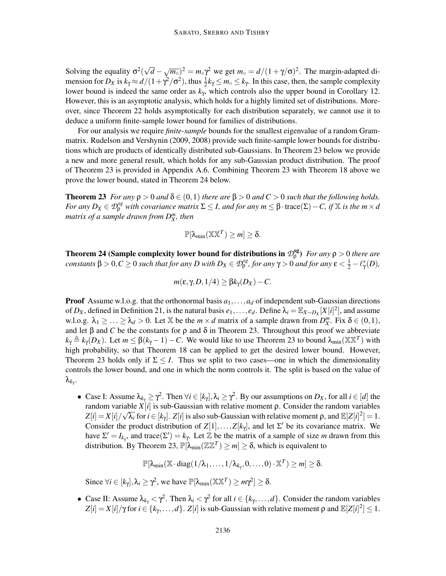Solving the equality  $\sigma^2(\sqrt{d} - \sqrt{m_0})^2 = m_0 \gamma^2$  we get  $m_0 = d/(1 + \gamma/\sigma)^2$ . The margin-adapted dimension for  $D_X$  is  $k_\gamma \approx d/(1+\gamma^2/\sigma^2)$ , thus  $\frac{1}{2}k_\gamma \le m_\circ \le k_\gamma$ . In this case, then, the sample complexity lower bound is indeed the same order as *k*<sup>γ</sup> , which controls also the upper bound in Corollary 12. However, this is an asymptotic analysis, which holds for a highly limited set of distributions. Moreover, since Theorem 22 holds asymptotically for each distribution separately, we cannot use it to deduce a uniform finite-sample lower bound for families of distributions.

For our analysis we require *finite-sample* bounds for the smallest eigenvalue of a random Grammatrix. Rudelson and Vershynin (2009, 2008) provide such finite-sample lower bounds for distributions which are products of identically distributed sub-Gaussians. In Theorem 23 below we provide a new and more general result, which holds for any sub-Gaussian product distribution. The proof of Theorem 23 is provided in Appendix A.6. Combining Theorem 23 with Theorem 18 above we prove the lower bound, stated in Theorem 24 below.

**Theorem 23** *For any*  $\rho > 0$  *and*  $\delta \in (0,1)$  *there are*  $\beta > 0$  *and*  $C > 0$  *such that the following holds. For any*  $D_X \in \mathcal{D}_{\rho}^{sg}$  *with covariance matrix*  $\Sigma \leq I$ *, and for any*  $m \leq \beta \cdot \text{trace}(\Sigma) - C$ *, if* X *is the*  $m \times d$ *matrix of a sample drawn from D<sup>m</sup> X , then*

$$
\mathbb{P}[\lambda_{\min}(\mathbb{X}\mathbb{X}^T)\geq m]\geq \delta.
$$

**Theorem 24 (Sample complexity lower bound for distributions in**  $\mathcal{D}_{\rho}^{sg}$ **)** *For any*  $\rho > 0$  *there are constants*  $\beta > 0, C \ge 0$  *such that for any D* with  $D_X \in \mathcal{D}_{\rho}^{sg}$ , for any  $\gamma > 0$  and for any  $\varepsilon < \frac{1}{2} - \ell_{\gamma}^{*}(D)$ ,

$$
m(\varepsilon, \gamma, D, 1/4) \geq \beta k_{\gamma}(D_X) - C.
$$

**Proof** Assume w.l.o.g. that the orthonormal basis  $a_1, \ldots, a_d$  of independent sub-Gaussian directions of  $D_X$ , defined in Definition 21, is the natural basis  $e_1, \ldots, e_d$ . Define  $\lambda_i = \mathbb{E}_{X \sim D_X}[X[i]^2]$ , and assume w.l.o.g.  $\lambda_1 \geq \ldots \geq \lambda_d > 0$ . Let X be the  $m \times d$  matrix of a sample drawn from  $D_{X}^{m}$ . Fix  $\delta \in (0,1)$ , and let  $\beta$  and *C* be the constants for  $\rho$  and  $\delta$  in Theorem 23. Throughout this proof we abbreviate  $k_{\gamma} \triangleq k_{\gamma}(D_X)$ . Let  $m \leq \beta(k_{\gamma}-1) - C$ . We would like to use Theorem 23 to bound  $\lambda_{\min}(\mathbb{X}\mathbb{X}^T)$  with high probability, so that Theorem 18 can be applied to get the desired lower bound. However, Theorem 23 holds only if  $\Sigma \leq I$ . Thus we split to two cases—one in which the dimensionality controls the lower bound, and one in which the norm controls it. The split is based on the value of λ*k*γ .

• Case I: Assume  $λ_{k_γ} ≥ γ^2$ . Then  $∀i ∈ [k_γ], λ_i ≥ γ^2$ . By our assumptions on *D<sub>X</sub>*, for all *i* ∈ [*d*] the random variable *X*[*i*] is sub-Gaussian with relative moment ρ. Consider the random variables  $Z[i] = X[i]/\sqrt{\lambda_i}$  for  $i \in [k_\gamma]$ .  $Z[i]$  is also sub-Gaussian with relative moment  $\rho$ , and  $\mathbb{E}[Z[i]^2] = 1$ . Consider the product distribution of  $Z[1], \ldots, Z[k_{\gamma}]$ , and let  $\Sigma'$  be its covariance matrix. We have  $\Sigma' = I_{k_{\gamma}}$ , and trace( $\Sigma'$ ) =  $k_{\gamma}$ . Let  $\mathbb{Z}$  be the matrix of a sample of size *m* drawn from this distribution. By Theorem 23,  $\mathbb{P}[\lambda_{\min}(\mathbb{Z} \mathbb{Z}^T) \geq m] \geq \delta$ , which is equivalent to

 $\mathbb{P}[\lambda_{\min}(\mathbb{X}\cdot\text{diag}(1/\lambda_1,\ldots,1/\lambda_{k_{\gamma}},0,\ldots,0)\cdot\mathbb{X}^T)\geq m]\geq \delta.$ 

Since  $\forall i \in [k_{\gamma}], \lambda_i \ge \gamma^2$ , we have  $\mathbb{P}[\lambda_{\min}(\mathbb{X} \mathbb{X}^T) \ge m\gamma^2] \ge \delta$ .

• Case II: Assume  $\lambda_{k_{\gamma}} < \gamma^2$ . Then  $\lambda_i < \gamma^2$  for all  $i \in \{k_{\gamma}, \dots, d\}$ . Consider the random variables  $Z[i] = X[i]/\gamma$  for  $i \in \{k_{\gamma},...,d\}$ .  $Z[i]$  is sub-Gaussian with relative moment  $\rho$  and  $\mathbb{E}[Z[i]^2] \leq 1$ .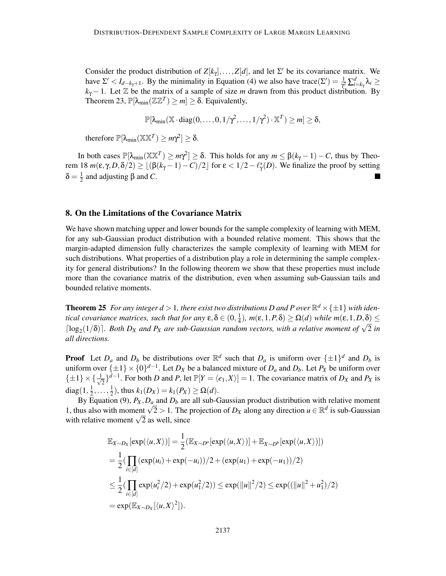Consider the product distribution of  $Z[k_{\gamma}], \ldots, Z[d]$ , and let  $\Sigma'$  be its covariance matrix. We have  $\Sigma' < I_{d-k_{\gamma}+1}$ . By the minimality in Equation (4) we also have trace( $\Sigma'$ ) =  $\frac{1}{\gamma^2} \sum_{i=k_{\gamma}}^d \lambda_i \ge$  $k_{\gamma}-1$ . Let  $\mathbb Z$  be the matrix of a sample of size *m* drawn from this product distribution. By Theorem 23,  $\mathbb{P}[\lambda_{\min}(\mathbb{Z}\mathbb{Z}^T) \geq m] \geq \delta$ . Equivalently,

 $\mathbb{P}[\lambda_{\min}(\mathbb{X}\cdot\text{diag}(0,\ldots,0,1/\gamma^2,\ldots,1/\gamma^2)\cdot\mathbb{X}^T)\geq m]\geq \delta,$ 

therefore  $\mathbb{P}[\lambda_{\min}(\mathbb{X}\mathbb{X}^T)\geq m\gamma^2] \geq \delta$ .

In both cases  $\mathbb{P}[\lambda_{\min}(\mathbb{XX}^T) \ge m\gamma^2] \ge \delta$ . This holds for any  $m \le \beta(k_\gamma - 1) - C$ , thus by Theorem 18  $m(\varepsilon, \gamma, D, \delta/2) \ge \lfloor (\beta(k_\gamma - 1) - C)/2 \rfloor$  for  $\varepsilon < 1/2 - \ell^*_{\gamma}(D)$ . We finalize the proof by setting  $\delta = \frac{1}{2}$  $\frac{1}{2}$  and adjusting β and *C*.

#### 8. On the Limitations of the Covariance Matrix

We have shown matching upper and lower bounds for the sample complexity of learning with MEM, for any sub-Gaussian product distribution with a bounded relative moment. This shows that the margin-adapted dimension fully characterizes the sample complexity of learning with MEM for such distributions. What properties of a distribution play a role in determining the sample complexity for general distributions? In the following theorem we show that these properties must include more than the covariance matrix of the distribution, even when assuming sub-Gaussian tails and bounded relative moments.

**Theorem 25** For any integer  $d > 1$ , there exist two distributions D and P over  $\mathbb{R}^d \times \{\pm 1\}$  with iden*tical covariance matrices, such that for any*  $\epsilon, \delta \in (0, \frac{1}{4})$  $\frac{1}{4}$ )*, m*(**ε**, 1*, P*,δ) ≥ Ω(*d*) *while m*(**ε**, 1*, D*,δ<u>)</u> ≤ [log<sub>2</sub>(1/δ)]. Both D<sub>*X*</sub> and P<sub>*X*</sub> are sub-Gaussian random vectors, with a relative moment of  $\sqrt{2}$  in *all directions.*

**Proof** Let  $D_a$  and  $D_b$  be distributions over  $\mathbb{R}^d$  such that  $D_a$  is uniform over  $\{\pm 1\}^d$  and  $D_b$  is uniform over  $\{\pm 1\} \times \{0\}^{d-1}$ . Let *D<sub>X</sub>* be a balanced mixture of *D<sub>a</sub>* and *D<sub>b</sub>*. Let *P<sub>X</sub>* be uniform over  $\{\pm 1\} \times \{\frac{1}{\sqrt{2}}\}$  $\frac{1}{2}$ ,  $\int_0^1 e^{-t}$ . For both *D* and *P*, let  $\mathbb{P}[Y = \langle e_1, X \rangle] = 1$ . The covariance matrix of *D<sub>X</sub>* and *P<sub>X</sub>* is diag $(1, \frac{1}{2})$  $\frac{1}{2}, \ldots, \frac{1}{2}$  $\frac{1}{2}$ ), thus  $k_1(D_X) = k_1(P_X) \ge \Omega(d)$ .

By Equation (9),  $P_X$ ,  $D_a$  and  $D_b$  are all sub-Gaussian product distribution with relative moment 1, thus also with moment  $\sqrt{2} > 1$ . The projection of *D<sub>X</sub>* along any direction  $u \in \mathbb{R}^d$  is sub-Gaussian with relative moment  $\sqrt{2}$  as well, since

$$
\mathbb{E}_{X \sim D_X}[\exp(\langle u, X \rangle)] = \frac{1}{2} (\mathbb{E}_{X \sim D^a}[\exp(\langle u, X \rangle)] + \mathbb{E}_{X \sim D^b}[\exp(\langle u, X \rangle)])
$$
  
\n
$$
= \frac{1}{2} (\prod_{i \in [d]} (\exp(u_i) + \exp(-u_i))/2 + (\exp(u_1) + \exp(-u_1))/2)
$$
  
\n
$$
\leq \frac{1}{2} (\prod_{i \in [d]} \exp(u_i^2/2) + \exp(u_1^2/2)) \leq \exp(||u||^2/2) \leq \exp((||u||^2 + u_1^2)/2)
$$
  
\n
$$
= \exp(\mathbb{E}_{X \sim D_X}[\langle u, X \rangle^2]).
$$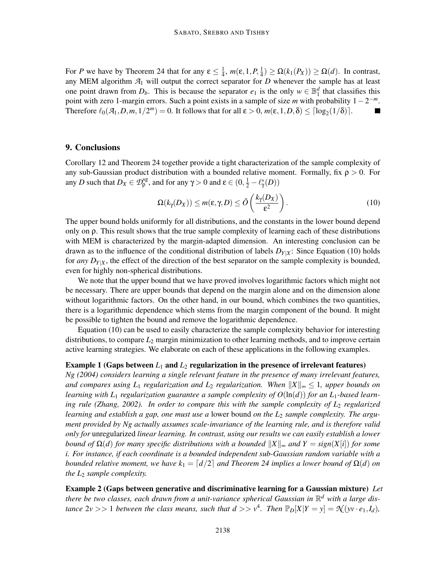For *P* we have by Theorem 24 that for any  $\epsilon \leq \frac{1}{4}$  $\frac{1}{4}$ *, m*(**ε**, 1*, P*,  $\frac{1}{4}$  $\frac{1}{4}$ )  $\geq \Omega(k_1(P_X)) \geq \Omega(d)$ . In contrast, any MEM algorithm  $A_1$  will output the correct separator for *D* whenever the sample has at least one point drawn from  $D_b$ . This is because the separator  $e_1$  is the only  $w \in \mathbb{B}_1^d$  that classifies this point with zero 1-margin errors. Such a point exists in a sample of size *m* with probability  $1 - 2^{-m}$ . Therefore  $\ell_0(\mathcal{A}_1, D, m, 1/2^m) = 0$ . It follows that for all  $\varepsilon > 0$ ,  $m(\varepsilon, 1, D, \delta) \leq \lceil \log_2(1/\delta) \rceil$ .

### 9. Conclusions

Corollary 12 and Theorem 24 together provide a tight characterization of the sample complexity of any sub-Gaussian product distribution with a bounded relative moment. Formally, fix  $\rho > 0$ . For any *D* such that  $D_X \in \mathcal{D}_{\rho}^{\text{sg}}$ , and for any  $\gamma > 0$  and  $\epsilon \in (0, \frac{1}{2} - \ell_{\gamma}^*(D))$ 

$$
\Omega(k_{\gamma}(D_X)) \le m(\varepsilon, \gamma, D) \le \tilde{O}\left(\frac{k_{\gamma}(D_X)}{\varepsilon^2}\right). \tag{10}
$$

The upper bound holds uniformly for all distributions, and the constants in the lower bound depend only on  $\rho$ . This result shows that the true sample complexity of learning each of these distributions with MEM is characterized by the margin-adapted dimension. An interesting conclusion can be drawn as to the influence of the conditional distribution of labels  $D_{Y|X}$ : Since Equation (10) holds for *any*  $D_{Y|X}$ , the effect of the direction of the best separator on the sample complexity is bounded, even for highly non-spherical distributions.

We note that the upper bound that we have proved involves logarithmic factors which might not be necessary. There are upper bounds that depend on the margin alone and on the dimension alone without logarithmic factors. On the other hand, in our bound, which combines the two quantities, there is a logarithmic dependence which stems from the margin component of the bound. It might be possible to tighten the bound and remove the logarithmic dependence.

Equation (10) can be used to easily characterize the sample complexity behavior for interesting distributions, to compare *L*<sup>2</sup> margin minimization to other learning methods, and to improve certain active learning strategies. We elaborate on each of these applications in the following examples.

#### Example 1 (Gaps between *L*<sup>1</sup> and *L*<sup>2</sup> regularization in the presence of irrelevant features)

*Ng (2004) considers learning a single relevant feature in the presence of many irrelevant features, and compares using L*<sub>1</sub> *regularization and L*<sub>2</sub> *regularization. When*  $||X||_{\infty} \leq 1$ *, upper bounds on learning with L*<sup>1</sup> *regularization guarantee a sample complexity of O*(ln(*d*)) *for an L*1*-based learning rule (Zhang, 2002). In order to compare this with the sample complexity of L*<sup>2</sup> *regularized learning and establish a gap, one must use a* lower bound *on the L*<sup>2</sup> *sample complexity. The argument provided by Ng actually assumes scale-invariance of the learning rule, and is therefore valid only for* unregularized *linear learning. In contrast, using our results we can easily establish a lower bound of*  $\Omega(d)$  *for many specific distributions with a bounded*  $||X||_{\infty}$  *and*  $Y = sign(X[i])$  *for some i. For instance, if each coordinate is a bounded independent sub-Gaussian random variable with a bounded relative moment, we have*  $k_1 = \lfloor d/2 \rfloor$  *and Theorem 24 implies a lower bound of*  $\Omega(d)$  *on the L*<sup>2</sup> *sample complexity.*

Example 2 (Gaps between generative and discriminative learning for a Gaussian mixture) *Let* there be two classes, each drawn from a unit-variance spherical Gaussian in  $\mathbb{R}^d$  with a large dis*tance*  $2v \gg 1$  *between the class means, such that*  $d \gg v^4$ *. Then*  $\mathbb{P}_D[X|Y = y] = \mathcal{N}(yv \cdot e_1, I_d)$ *,*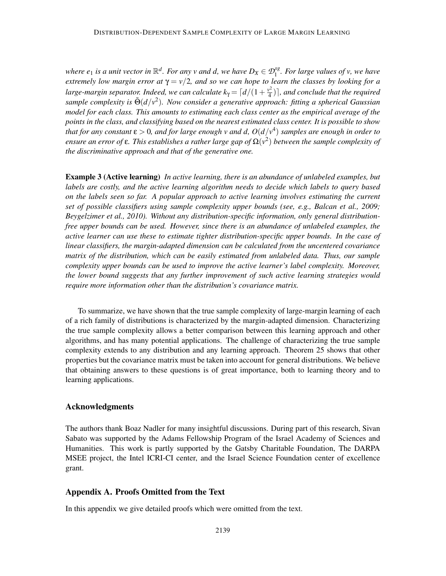where  $e_1$  is a unit vector in  $\mathbb{R}^d$ . For any v and d, we have  $D_X \in \mathcal{D}_1^{sg}$ 1 *. For large values of v, we have extremely low margin error at*  $\gamma = v/2$ , and so we can hope to learn the classes by looking for a *large-margin separator. Indeed, we can calculate*  $k_\gamma = \lceil d/(1+\frac{v^2}{4})\rceil$  $\left( \frac{\partial^2}{\partial 4} \right)$ ], and conclude that the required *sample complexity is*  $\tilde{\Theta}(d/v^2)$ . Now consider a generative approach: fitting a spherical Gaussian *model for each class. This amounts to estimating each class center as the empirical average of the points in the class, and classifying based on the nearest estimated class center. It is possible to show that for any constant* ε > 0*, and for large enough v and d, O*(*d*/*v* 4 ) *samples are enough in order to ensure an error of* ε*. This establishes a rather large gap of* Ω(*v* 2 ) *between the sample complexity of the discriminative approach and that of the generative one.*

Example 3 (Active learning) *In active learning, there is an abundance of unlabeled examples, but labels are costly, and the active learning algorithm needs to decide which labels to query based on the labels seen so far. A popular approach to active learning involves estimating the current set of possible classifiers using sample complexity upper bounds (see, e.g., Balcan et al., 2009; Beygelzimer et al., 2010). Without any distribution-specific information, only general distributionfree upper bounds can be used. However, since there is an abundance of unlabeled examples, the active learner can use these to estimate tighter distribution-specific upper bounds. In the case of linear classifiers, the margin-adapted dimension can be calculated from the uncentered covariance matrix of the distribution, which can be easily estimated from unlabeled data. Thus, our sample complexity upper bounds can be used to improve the active learner's label complexity. Moreover, the lower bound suggests that any further improvement of such active learning strategies would require more information other than the distribution's covariance matrix.*

To summarize, we have shown that the true sample complexity of large-margin learning of each of a rich family of distributions is characterized by the margin-adapted dimension. Characterizing the true sample complexity allows a better comparison between this learning approach and other algorithms, and has many potential applications. The challenge of characterizing the true sample complexity extends to any distribution and any learning approach. Theorem 25 shows that other properties but the covariance matrix must be taken into account for general distributions. We believe that obtaining answers to these questions is of great importance, both to learning theory and to learning applications.

# Acknowledgments

The authors thank Boaz Nadler for many insightful discussions. During part of this research, Sivan Sabato was supported by the Adams Fellowship Program of the Israel Academy of Sciences and Humanities. This work is partly supported by the Gatsby Charitable Foundation, The DARPA MSEE project, the Intel ICRI-CI center, and the Israel Science Foundation center of excellence grant.

# Appendix A. Proofs Omitted from the Text

In this appendix we give detailed proofs which were omitted from the text.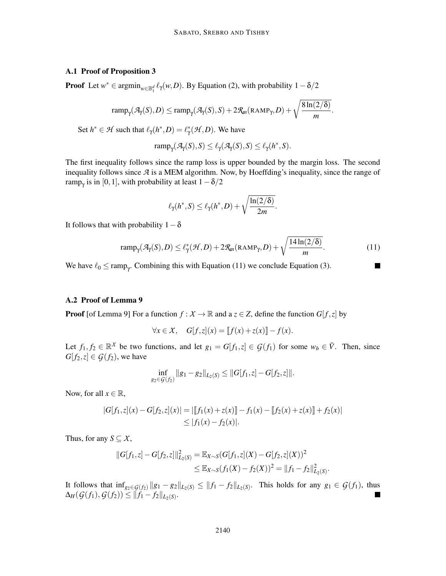### A.1 Proof of Proposition 3

**Proof** Let  $w^* \in \operatorname{argmin}_{w \in \mathbb{B}_1^d} \ell_\gamma(w, D)$ . By Equation (2), with probability  $1 - \delta/2$ 

$$
ramp_{\gamma}(\mathcal{A}_{\gamma}(S), D) \leq ramp_{\gamma}(\mathcal{A}_{\gamma}(S), S) + 2\mathcal{R}_{m}(\text{RAMP}_{\gamma}, D) + \sqrt{\frac{8\ln(2/\delta)}{m}}.
$$

Set  $h^* \in \mathcal{H}$  such that  $\ell_\gamma(h^*, D) = \ell_\gamma^*(\mathcal{H}, D)$ . We have

$$
ramp_{\gamma}(\mathcal{A}_{\gamma}(S), S) \leq \ell_{\gamma}(\mathcal{A}_{\gamma}(S), S) \leq \ell_{\gamma}(h^*, S).
$$

The first inequality follows since the ramp loss is upper bounded by the margin loss. The second inequality follows since *A* is a MEM algorithm. Now, by Hoeffding's inequality, since the range of ramp<sub>γ</sub> is in [0,1], with probability at least  $1-\delta/2$ 

$$
\ell_{\gamma}(h^*,S) \leq \ell_{\gamma}(h^*,D) + \sqrt{\frac{\ln(2/\delta)}{2m}}.
$$

It follows that with probability  $1-\delta$ 

$$
ramp_{\gamma}(\mathcal{A}_{\gamma}(S), D) \le \ell_{\gamma}^*(\mathcal{H}, D) + 2\mathcal{R}_m(\text{RAMP}_{\gamma}, D) + \sqrt{\frac{14\ln(2/\delta)}{m}}.
$$
\n(11)

We have  $\ell_0 \leq \text{ramp}_{\gamma}$ . Combining this with Equation (11) we conclude Equation (3).

# A.2 Proof of Lemma 9

**Proof** [of Lemma 9] For a function  $f : X \to \mathbb{R}$  and a  $z \in Z$ , define the function  $G[f, z]$  by

$$
\forall x \in \mathcal{X}, \quad G[f, z](x) = [f(x) + z(x)] - f(x).
$$

Let  $f_1, f_2 \in \mathbb{R}^X$  be two functions, and let  $g_1 = G[f_1, z] \in \mathcal{G}(f_1)$  for some  $w_b \in \overline{V}$ . Then, since  $G[f_2, z] \in \mathcal{G}(f_2)$ , we have

$$
\inf_{g_2 \in \mathcal{G}(f_2)} \|g_1 - g_2\|_{L_2(S)} \le \|G[f_1, z] - G[f_2, z]\|.
$$

Now, for all  $x \in \mathbb{R}$ ,

$$
|G[f_1, z](x) - G[f_2, z](x)| = ||[f_1(x) + z(x)] - f_1(x) - [f_2(x) + z(x)] + f_2(x)|
$$
  
\n
$$
\leq |f_1(x) - f_2(x)|.
$$

Thus, for any  $S \subseteq X$ ,

$$
||G[f_1,z] - G[f_2,z]||^2_{L_2(S)} = \mathbb{E}_{X \sim S}(G[f_1,z](X) - G[f_2,z](X))^2
$$
  

$$
\leq \mathbb{E}_{X \sim S}(f_1(X) - f_2(X))^2 = ||f_1 - f_2||^2_{L_2(S)}.
$$

It follows that  $\inf_{g_2 \in G(f_2)} ||g_1 - g_2||_{L_2(S)} \le ||f_1 - f_2||_{L_2(S)}$ . This holds for any *g*<sub>1</sub> ∈ *G*(*f*<sub>1</sub>), thus  $\Delta_H(\mathcal{G}(f_1), \mathcal{G}(f_2)) \leq ||f_1 - f_2||_{L_2(S)}.$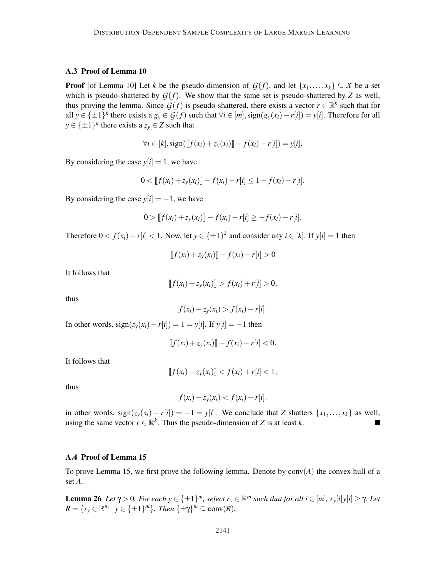### A.3 Proof of Lemma 10

**Proof** [of Lemma 10] Let *k* be the pseudo-dimension of  $G(f)$ , and let  $\{x_1, \ldots, x_k\} \subseteq X$  be a set which is pseudo-shattered by  $G(f)$ . We show that the same set is pseudo-shattered by *Z* as well, thus proving the lemma. Since  $G(f)$  is pseudo-shattered, there exists a vector  $r \in \mathbb{R}^k$  such that for all *y* ∈ { $\pm$ 1}<sup>*k*</sup> there exists a *g<sub>y</sub>* ∈ *G*(*f*) such that ∀*i* ∈ [*m*], sign(*g<sub>y</sub>*(*x<sub>i</sub>*) − *r*[*i*]) = *y*[*i*]. Therefore for all  $y \in {\{\pm 1\}}^k$  there exists a  $z_y \in Z$  such that

$$
\forall i \in [k], sign([\![f(x_i) + z_y(x_i)]\!] - f(x_i) - r[i]) = y[i].
$$

By considering the case  $y[i] = 1$ , we have

$$
0 < [f(x_i) + z_y(x_i)] - f(x_i) - r[i] \le 1 - f(x_i) - r[i].
$$

By considering the case  $y[i] = -1$ , we have

$$
0 > [f(x_i) + z_y(x_i)] - f(x_i) - r[i] \geq -f(x_i) - r[i].
$$

Therefore  $0 < f(x_i) + r[i] < 1$ . Now, let  $y \in {\pm 1}^k$  and consider any  $i \in [k]$ . If  $y[i] = 1$  then

$$
[f(x_i) + z_y(x_i)] - f(x_i) - r[i] > 0
$$

It follows that

$$
[f(x_i) + z_y(x_i)] > f(x_i) + r[i] > 0,
$$

thus

$$
f(x_i) + z_y(x_i) > f(x_i) + r[i].
$$

In other words,  $sign(z_v(x_i) - r[i]) = 1 = v[i]$ . If  $v[i] = -1$  then

$$
[f(x_i) + z_y(x_i)] - f(x_i) - r[i] < 0.
$$

It follows that

$$
[[f(x_i) + z_y(x_i)]] < f(x_i) + r[i] < 1,
$$

thus

$$
f(x_i) + z_y(x_i) < f(x_i) + r[i].
$$

in other words,  $sign(z_y(x_i) - r[i]) = -1 = y[i]$ . We conclude that *Z* shatters {*x*<sub>1</sub>,..., *x<sub>k</sub>*} as well, using the same vector *r* ∈ ℝ<sup>*k*</sup>. Thus the pseudo-dimension of *Z* is at least *k* using the same vector  $r \in \mathbb{R}^k$ . Thus the pseudo-dimension of *Z* is at least *k*.

# A.4 Proof of Lemma 15

To prove Lemma 15, we first prove the following lemma. Denote by conv(*A*) the convex hull of a set *A*.

**Lemma 26** Let  $\gamma > 0$ . For each  $y \in {\pm 1}^m$ , select  $r_y \in \mathbb{R}^m$  such that for all  $i \in [m]$ ,  $r_y[i]y[i] \ge \gamma$ . Let  $R = \{r_y \in \mathbb{R}^m \mid y \in \{\pm 1\}^m\}$ . Then  $\{\pm \gamma\}^m \subseteq \text{conv}(R)$ .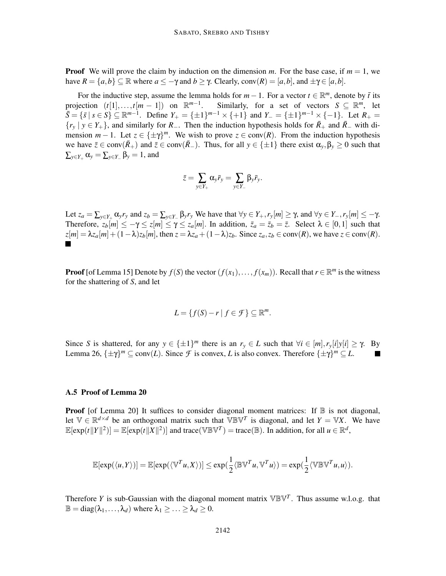**Proof** We will prove the claim by induction on the dimension *m*. For the base case, if  $m = 1$ , we have  $R = \{a, b\} \subseteq \mathbb{R}$  where  $a \leq -\gamma$  and  $b \geq \gamma$ . Clearly, conv $(R) = [a, b]$ , and  $\pm \gamma \in [a, b]$ .

For the inductive step, assume the lemma holds for  $m-1$ . For a vector  $t \in \mathbb{R}^m$ , denote by  $\bar{t}$  its projection  $(t[1],..., t[m-1])$  on  $\mathbb{R}^{m-1}$ . Similarly, for a set of vectors  $S \subseteq \mathbb{R}^m$ , let  $\overline{S} = \{\overline{s} \mid s \in S\} \subseteq \mathbb{R}^{m-1}$ . Define  $Y_+ = \{\pm 1\}^{m-1} \times \{\pm 1\}$  and  $Y_- = \{\pm 1\}^{m-1} \times \{-1\}$ . Let  $R_+ =$  ${r_y \mid y \in Y_+}$ , and similarly for *R*<sub>−</sub>. Then the induction hypothesis holds for  $\bar{R}_+$  and  $\bar{R}_-$  with dimension  $m-1$ . Let  $z \in {\pm \gamma}^m$ . We wish to prove  $z \in \text{conv}(R)$ . From the induction hypothesis we have  $\bar{z} \in \text{conv}(\bar{R}_+)$  and  $\bar{z} \in \text{conv}(\bar{R}_-)$ . Thus, for all  $y \in \{\pm 1\}$  there exist  $\alpha_y, \beta_y \ge 0$  such that  $\sum_{y \in Y_+} \alpha_y = \sum_{y \in Y_-} \beta_y = 1$ , and

$$
\bar{z} = \sum_{y \in Y_+} \alpha_y \bar{r}_y = \sum_{y \in Y_-} \beta_y \bar{r}_y.
$$

Let  $z_a = \sum_{y \in Y_+} \alpha_y r_y$  and  $z_b = \sum_{y \in Y_-} \beta_y r_y$  We have that  $\forall y \in Y_+, r_y[m] \ge \gamma$ , and  $\forall y \in Y_-, r_y[m] \le -\gamma$ . Therefore,  $z_b[m] \leq -\gamma \leq z[m] \leq \gamma \leq z_a[m]$ . In addition,  $\bar{z}_a = \bar{z}_b = \bar{z}$ . Select  $\lambda \in [0,1]$  such that  $z[m] = \lambda z_a[m] + (1 - \lambda)z_b[m]$ , then  $z = \lambda z_a + (1 - \lambda)z_b$ . Since  $z_a, z_b \in \text{conv}(R)$ , we have  $z \in \text{conv}(R)$ .

**Proof** [of Lemma 15] Denote by  $f(S)$  the vector  $(f(x_1),..., f(x_m))$ . Recall that  $r \in \mathbb{R}^m$  is the witness for the shattering of *S*, and let

$$
L = \{f(S) - r \mid f \in \mathcal{F}\} \subseteq \mathbb{R}^m.
$$

Since *S* is shattered, for any  $y \in {\pm 1}^m$  there is an  $r_y \in L$  such that  $\forall i \in [m], r_y[i]y[i] \ge \gamma$ . By Lemma 26,  $\{\pm \gamma\}^m \subseteq \text{conv}(L)$ . Since *F* is convex, *L* is also convex. Therefore  $\{\pm \gamma\}^m \subseteq L$ . **I** 

#### A.5 Proof of Lemma 20

**Proof** [of Lemma 20] It suffices to consider diagonal moment matrices: If  $\mathbb{B}$  is not diagonal, let  $\mathbb{V} \in \mathbb{R}^{d \times d}$  be an orthogonal matrix such that  $\mathbb{V}\mathbb{B}\mathbb{V}^T$  is diagonal, and let  $Y = \mathbb{V}X$ . We have  $\mathbb{E}[\exp(t\|Y\|^2)] = \mathbb{E}[\exp(t\|X\|^2)]$  and trace( $\mathbb{V}\mathbb{BV}^T$ ) = trace( $\mathbb{B}$ ). In addition, for all  $u \in \mathbb{R}^d$ ,

$$
\mathbb{E}[\exp(\langle u, Y \rangle)] = \mathbb{E}[\exp(\langle \mathbb{V}^T u, X \rangle)] \le \exp(\frac{1}{2} \langle \mathbb{BV}^T u, \mathbb{V}^T u \rangle) = \exp(\frac{1}{2} \langle \mathbb{V} \mathbb{BV}^T u, u \rangle).
$$

Therefore *Y* is sub-Gaussian with the diagonal moment matrix  $\mathbb{V}\mathbb{B}\mathbb{V}^T$ . Thus assume w.l.o.g. that  $\mathbb{B} = \text{diag}(\lambda_1, \ldots, \lambda_d)$  where  $\lambda_1 > \ldots > \lambda_d > 0$ .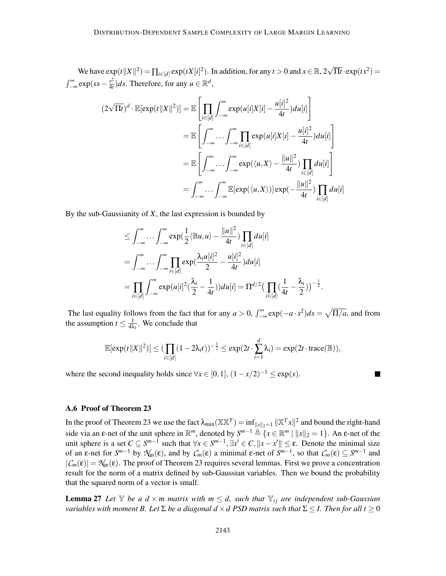We have  $\exp(t||X||^2) = \prod_{i \in [d]} \exp(tX[i]^2)$ . In addition, for any  $t > 0$  and  $x \in \mathbb{R}, 2\sqrt{\Pi t} \cdot \exp(tx^2) =$  $\int_{-\infty}^{\infty} \exp(sx - \frac{s^2}{4t})$  $\frac{s^2}{4t}$ )*ds*. Therefore, for any  $u \in \mathbb{R}^d$ ,

$$
(2\sqrt{\Pi t})^d \cdot \mathbb{E}[\exp(t||X||^2)] = \mathbb{E}\left[\prod_{i\in[d]} \int_{-\infty}^{\infty} \exp(u[i]X[i] - \frac{u[i]^2}{4t})du[i]\right]
$$
  
\n
$$
= \mathbb{E}\left[\int_{-\infty}^{\infty} \cdots \int_{-\infty}^{\infty} \prod_{i\in[d]} \exp(u[i]X[i] - \frac{u[i]^2}{4t})du[i]\right]
$$
  
\n
$$
= \mathbb{E}\left[\int_{-\infty}^{\infty} \cdots \int_{-\infty}^{\infty} \exp(\langle u, X \rangle - \frac{||u||^2}{4t}) \prod_{i\in[d]} du[i]\right]
$$
  
\n
$$
= \int_{-\infty}^{\infty} \cdots \int_{-\infty}^{\infty} \mathbb{E}[\exp(\langle u, X \rangle)] \exp(-\frac{||u||^2}{4t}) \prod_{i\in[d]} du[i]
$$

By the sub-Gaussianity of *X*, the last expression is bounded by

$$
\leq \int_{-\infty}^{\infty} \dots \int_{-\infty}^{\infty} \exp\left(\frac{1}{2}\langle \mathbb{B}u, u \rangle - \frac{\|u\|^2}{4t}\right) \prod_{i \in [d]} du[i]
$$
  
\n
$$
= \int_{-\infty}^{\infty} \dots \int_{-\infty}^{\infty} \prod_{i \in [d]} \exp\left(\frac{\lambda_i u[i]^2}{2} - \frac{u[i]^2}{4t}\right) du[i]
$$
  
\n
$$
= \prod_{i \in [d]} \int_{-\infty}^{\infty} \exp(u[i]^2 \left(\frac{\lambda_i}{2} - \frac{1}{4t}\right)) du[i] = \Pi^{d/2} \left(\prod_{i \in [d]} \left(\frac{1}{4t} - \frac{\lambda_i}{2}\right)\right)^{-\frac{1}{2}}
$$

The last equality follows from the fact that for any  $a > 0$ ,  $\int_{-\infty}^{\infty} \exp(-a \cdot s^2) ds = \sqrt{\Pi/a}$ , and from the assumption  $t \leq \frac{1}{4\lambda}$  $\frac{1}{4\lambda_1}$ . We conclude that

.

$$
\mathbb{E}[\exp(t||X||^2)] \leq (\prod_{i \in [d]} (1-2\lambda_i t))^{-\frac{1}{2}} \leq \exp(2t \cdot \sum_{i=1}^d \lambda_i) = \exp(2t \cdot \text{trace}(\mathbb{B})),
$$

where the second inequality holds since  $\forall x \in [0,1]$ ,  $(1 - x/2)^{-1} \leq \exp(x)$ .

# A.6 Proof of Theorem 23

In the proof of Theorem 23 we use the fact  $\lambda_{\min}(\mathbb{XX}^T) = \inf_{\|x\|_2=1} \|\mathbb{X}^T x\|^2$  and bound the right-hand side via an  $\varepsilon$ -net of the unit sphere in  $\mathbb{R}^m$ , denoted by  $S^{m-1} \triangleq \{x \in \mathbb{R}^m \mid ||x||_2 = 1\}$ . An  $\varepsilon$ -net of the unit sphere is a set  $C \subseteq S^{m-1}$  such that  $\forall x \in S^{m-1}, \exists x' \in C, ||x - x'|| \le \varepsilon$ . Denote the minimal size of an  $\varepsilon$ -net for  $S^{m-1}$  by  $\mathcal{N}_m(\varepsilon)$ , and by  $C_m(\varepsilon)$  a minimal  $\varepsilon$ -net of  $S^{m-1}$ , so that  $C_m(\varepsilon) \subseteq S^{m-1}$  and  $|\mathcal{C}_m(\varepsilon)| = \mathcal{N}_m(\varepsilon)$ . The proof of Theorem 23 requires several lemmas. First we prove a concentration result for the norm of a matrix defined by sub-Gaussian variables. Then we bound the probability that the squared norm of a vector is small.

**Lemma 27** Let  $\mathbb{Y}$  be a  $d \times m$  matrix with  $m \leq d$ , such that  $\mathbb{Y}_{ij}$  are independent sub-Gaussian *variables with moment B. Let*  $\Sigma$  *be a diagonal*  $d \times d$  *PSD matrix such that*  $\Sigma \leq I$ *. Then for all*  $t \geq 0$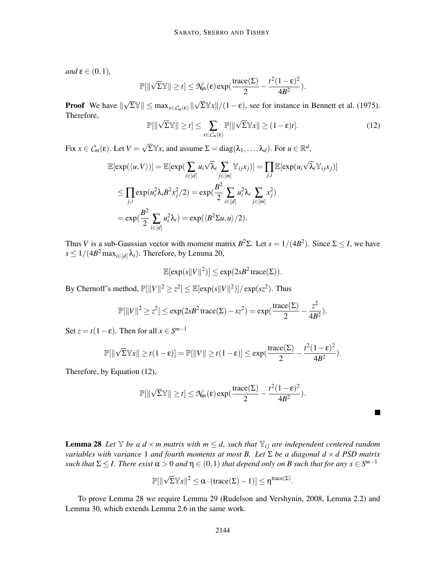$and \varepsilon \in (0,1),$ 

$$
\mathbb{P}[\|\sqrt{\Sigma}\mathbb{Y}\| \geq t] \leq \mathcal{N}_m(\varepsilon) \exp(\frac{\text{trace}(\Sigma)}{2} - \frac{t^2(1-\varepsilon)^2}{4B^2}).
$$

**Proof** We have  $\|\sqrt{\Sigma}\mathbb{Y}\| \le \max_{x \in C_m(\varepsilon)} \|\sqrt{\Sigma}\mathbb{Y}x\|/(1-\varepsilon)$ , see for instance in Bennett et al. (1975). Therefore,

$$
\mathbb{P}[\|\sqrt{\Sigma}\mathbb{Y}\| \ge t] \le \sum_{x \in C_m(\varepsilon)} \mathbb{P}[\|\sqrt{\Sigma}\mathbb{Y}x\| \ge (1-\varepsilon)t]. \tag{12}
$$

Fix  $x \in C_m(\varepsilon)$ . Let  $V = \sqrt{\Sigma} \mathbb{Y}x$ , and assume  $\Sigma = \text{diag}(\lambda_1, \dots, \lambda_d)$ . For  $u \in \mathbb{R}^d$ ,

$$
\mathbb{E}[\exp(\langle u, V \rangle)] = \mathbb{E}[\exp(\sum_{i \in [d]} u_i \sqrt{\lambda_i} \sum_{j \in [m]} \mathbb{Y}_{ij} x_j)] = \prod_{j,i} \mathbb{E}[\exp(u_i \sqrt{\lambda_i} \mathbb{Y}_{ij} x_j)]
$$
  
\n
$$
\leq \prod_{j,i} \exp(u_i^2 \lambda_i B^2 x_j^2 / 2) = \exp(\frac{B^2}{2} \sum_{i \in [d]} u_i^2 \lambda_i \sum_{j \in [m]} x_j^2)
$$
  
\n
$$
= \exp(\frac{B^2}{2} \sum_{i \in [d]} u_i^2 \lambda_i) = \exp(\langle B^2 \Sigma u, u \rangle / 2).
$$

Thus *V* is a sub-Gaussian vector with moment matrix  $B^2\Sigma$ . Let  $s = 1/(4B^2)$ . Since  $\Sigma \leq I$ , we have  $s \leq 1/(4B^2 \max_{i \in [d]} \lambda_i)$ . Therefore, by Lemma 20,

$$
\mathbb{E}[\exp(s||V||^2)] \le \exp(2sB^2\operatorname{trace}(\Sigma)).
$$

By Chernoff's method,  $\mathbb{P}[\|V\|^2 \ge z^2] \le \mathbb{E}[\exp(s\|V\|^2)] / \exp(sz^2)$ . Thus

$$
\mathbb{P}[\|V\|^2 \ge z^2] \le \exp(2sB^2\operatorname{trace}(\Sigma) - sz^2) = \exp(\frac{\operatorname{trace}(\Sigma)}{2} - \frac{z^2}{4B^2}).
$$

Set  $z = t(1 - \varepsilon)$ . Then for all  $x \in S^{m-1}$ 

$$
\mathbb{P}[\|\sqrt{\Sigma}\mathbb{Y}x\|\geq t(1-\epsilon)]=\mathbb{P}[\|V\|\geq t(1-\epsilon)]\leq \exp(\frac{\operatorname{trace}(\Sigma)}{2}-\frac{t^2(1-\epsilon)^2}{4B^2}).
$$

Therefore, by Equation (12),

$$
\mathbb{P}[\|\sqrt{\Sigma}\mathbb{Y}\| \geq t] \leq \mathcal{N}_m(\varepsilon) \exp(\frac{\text{trace}(\Sigma)}{2} - \frac{t^2(1-\varepsilon)^2}{4B^2}).
$$

 $\blacksquare$ 

**Lemma 28** Let  $\mathbb{Y}$  be a  $d \times m$  matrix with  $m \leq d$ , such that  $\mathbb{Y}_{ij}$  are independent centered random *variables with variance* 1 *and fourth moments at most B. Let* Σ *be a diagonal d* × *d PSD matrix such that*  $\Sigma \leq I$ . *There exist*  $\alpha > 0$  *and*  $\eta \in (0,1)$  *that depend only on B such that for any*  $x \in S^{m-1}$ 

$$
\mathbb{P}[\|\sqrt{\Sigma}\mathbb{Y}x\|^2\leq \alpha\cdot (\text{trace}(\Sigma)-1)]\leq \eta^{\text{trace}(\Sigma)}.
$$

To prove Lemma 28 we require Lemma 29 (Rudelson and Vershynin, 2008, Lemma 2.2) and Lemma 30, which extends Lemma 2.6 in the same work.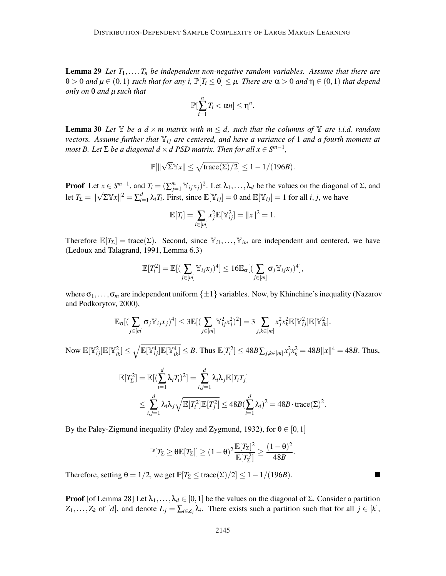Lemma 29 *Let T*1,...,*T<sup>n</sup> be independent non-negative random variables. Assume that there are*  $\theta > 0$  *and*  $\mu \in (0,1)$  *such that for any i*,  $\mathbb{P}[T_i \leq \theta] \leq \mu$ . There are  $\alpha > 0$  and  $\eta \in (0,1)$  *that depend only on* θ *and µ such that*

$$
\mathbb{P}[\sum_{i=1}^n T_i < \alpha n] \leq \eta^n.
$$

**Lemma 30** Let  $\mathbb{Y}$  be a  $d \times m$  matrix with  $m \leq d$ , such that the columns of  $\mathbb{Y}$  are i.i.d. random *vectors. Assume further that*  $\mathbb{Y}_{ij}$  *are centered, and have a variance of* 1 *and a fourth moment at most B. Let*  $\Sigma$  *be a diagonal d*  $\times$  *d PSD matrix. Then for all*  $x \in S^{m-1}$ ,

$$
\mathbb{P}[\|\sqrt{\Sigma}\mathbb{Y}x\|\leq \sqrt{\text{trace}(\Sigma)/2}]\leq 1-1/(196B).
$$

**Proof** Let  $x \in S^{m-1}$ , and  $T_i = (\sum_{j=1}^m Y_{ij}x_j)^2$ . Let  $\lambda_1, \ldots, \lambda_d$  be the values on the diagonal of  $\Sigma$ , and let  $T_{\Sigma} = ||\sqrt{\Sigma} \mathbb{Y}x||^2 = \sum_{i=1}^d \lambda_i T_i$ . First, since  $\mathbb{E}[\mathbb{Y}_{ij}] = 0$  and  $\mathbb{E}[\mathbb{Y}_{ij}] = 1$  for all *i*, *j*, we have

$$
\mathbb{E}[T_i] = \sum_{i \in [m]} x_j^2 \mathbb{E}[\mathbb{Y}_{ij}^2] = ||x||^2 = 1.
$$

Therefore  $\mathbb{E}[T_{\Sigma}] = \text{trace}(\Sigma)$ . Second, since  $\mathbb{Y}_{i1}, \dots, \mathbb{Y}_{im}$  are independent and centered, we have (Ledoux and Talagrand, 1991, Lemma 6.3)

$$
\mathbb{E}[T_i^2] = \mathbb{E}[(\sum_{j \in [m]} \mathbb{Y}_{ij} x_j)^4] \le 16 \mathbb{E}_{\sigma}[(\sum_{j \in [m]} \sigma_j \mathbb{Y}_{ij} x_j)^4],
$$

where  $\sigma_1, \ldots, \sigma_m$  are independent uniform  $\{\pm 1\}$  variables. Now, by Khinchine's inequality (Nazarov and Podkorytov, 2000),

$$
\mathbb{E}_{\sigma}[(\sum_{j\in[m]} \sigma_j \mathbb{Y}_{ij} x_j)^4] \leq 3 \mathbb{E}[(\sum_{j\in[m]} \mathbb{Y}_{ij}^2 x_j^2)^2] = 3 \sum_{j,k\in[m]} x_j^2 x_k^2 \mathbb{E}[\mathbb{Y}_{ij}^2] \mathbb{E}[\mathbb{Y}_{ik}^2].
$$

Now  $\mathbb{E}[\mathbb{Y}_{ij}^2]\mathbb{E}[\mathbb{Y}_{ik}^2] \le \sqrt{\mathbb{E}[\mathbb{Y}_{ij}^4]\mathbb{E}[\mathbb{Y}_{ik}^4]} \le B$ . Thus  $\mathbb{E}[T_i^2] \le 48B\sum_{j,k\in[m]}x_j^2x_k^2 = 48B||x||^4 = 48B$ . Thus,

$$
\mathbb{E}[T_{\Sigma}^2] = \mathbb{E}[(\sum_{i=1}^d \lambda_i T_i)^2] = \sum_{i,j=1}^d \lambda_i \lambda_j \mathbb{E}[T_i T_j]
$$
  
\n
$$
\leq \sum_{i,j=1}^d \lambda_i \lambda_j \sqrt{\mathbb{E}[T_i^2] \mathbb{E}[T_j^2]} \leq 48B(\sum_{i=1}^d \lambda_i)^2 = 48B \cdot \text{trace}(\Sigma)^2.
$$

By the Paley-Zigmund inequality (Paley and Zygmund, 1932), for  $\theta \in [0,1]$ 

$$
\mathbb{P}[\mathit{T}_\Sigma \geq \theta \mathbb{E}[\mathit{T}_\Sigma]] \geq (1-\theta)^2 \frac{\mathbb{E}[\mathit{T}_\Sigma]^2}{\mathbb{E}[\mathit{T}_\Sigma^2]} \geq \frac{(1-\theta)^2}{48B}.
$$

 $\overline{\phantom{a}}$ 

Therefore, setting  $\theta = 1/2$ , we get  $\mathbb{P}[T_{\Sigma} \leq \text{trace}(\Sigma)/2] \leq 1 - 1/(196B)$ .

**Proof** [of Lemma 28] Let  $\lambda_1, \ldots, \lambda_d \in [0,1]$  be the values on the diagonal of Σ. Consider a partition  $Z_1, \ldots, Z_k$  of [*d*], and denote  $L_j = \sum_{i \in Z_j} \lambda_i$ . There exists such a partition such that for all  $j \in [k]$ ,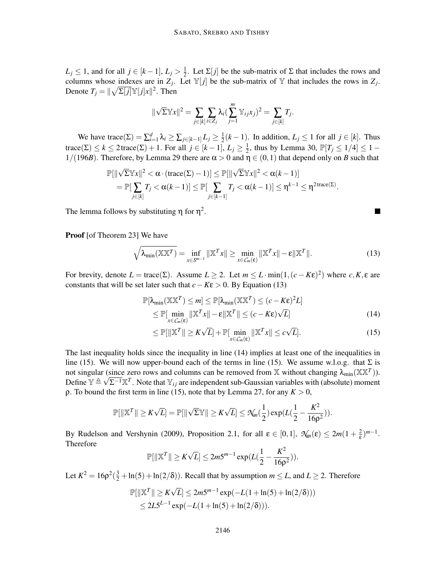$L_j \leq 1$ , and for all  $j \in [k-1]$ ,  $L_j > \frac{1}{2}$  $\frac{1}{2}$ . Let  $\Sigma[j]$  be the sub-matrix of  $\Sigma$  that includes the rows and columns whose indexes are in  $Z_j$ . Let  $\mathbb{Y}[j]$  be the sub-matrix of  $\mathbb Y$  that includes the rows in  $Z_j$ . Denote  $T_j = ||\sqrt{\Sigma[j]} \mathbb{Y}[j]x||^2$ . Then

$$
\|\sqrt{\Sigma}\mathbb{Y}\mathbf{x}\|^2 = \sum_{j\in[k]} \sum_{i\in\mathbb{Z}_j} \lambda_i (\sum_{j=1}^m \mathbb{Y}_{ij}x_j)^2 = \sum_{j\in[k]} T_j.
$$

We have trace( $\Sigma$ ) =  $\sum_{i=1}^{d} \lambda_i \ge \sum_{j \in [k-1]} L_j \ge \frac{1}{2}$  $\frac{1}{2}(k-1)$ . In addition, *L<sub>j</sub>* ≤ 1 for all *j* ∈ [*k*]. Thus trace( $\Sigma$ )  $\leq k \leq 2$  trace( $\Sigma$ ) + 1. For all  $j \in [k-1], L_j \geq \frac{1}{2}$  $\frac{1}{2}$ , thus by Lemma 30,  $\mathbb{P}[T_j \le 1/4] \le 1 -$ 1/(196*B*). Therefore, by Lemma 29 there are  $\alpha > 0$  and  $\eta \in (0,1)$  that depend only on *B* such that

$$
\mathbb{P}[\|\sqrt{\Sigma}\mathbb{Y}x\|^2 < \alpha \cdot (\text{trace}(\Sigma) - 1)] \leq \mathbb{P}[\|\sqrt{\Sigma}\mathbb{Y}x\|^2 < \alpha(k-1)]
$$
  
=  $\mathbb{P}[\sum_{j \in [k]} T_j < \alpha(k-1)] \leq \mathbb{P}[\sum_{j \in [k-1]} T_j < \alpha(k-1)] \leq \eta^{k-1} \leq \eta^{2\text{trace}(\Sigma)}.$ 

The lemma follows by substituting  $\eta$  for  $\eta^2$ .

Proof [of Theorem 23] We have

$$
\sqrt{\lambda_{\min}(\mathbb{X}\mathbb{X}^T)} = \inf_{x \in S^{m-1}} \|\mathbb{X}^T x\| \ge \min_{x \in C_m(\varepsilon)} \|\mathbb{X}^T x\| - \varepsilon \|\mathbb{X}^T\|.
$$
 (13)

 $\blacksquare$ 

For brevity, denote  $L = \text{trace}(\Sigma)$ . Assume  $L \ge 2$ . Let  $m \le L \cdot \min(1, (c - K \varepsilon)^2)$  where  $c, K, \varepsilon$  are constants that will be set later such that  $c - K\varepsilon > 0$ . By Equation (13)

$$
\mathbb{P}[\lambda_{\min}(\mathbb{X}\mathbb{X}^T) \le m] \le \mathbb{P}[\lambda_{\min}(\mathbb{X}\mathbb{X}^T) \le (c - K\epsilon)^2 L] \le \mathbb{P}[\min_{x \in C_m(\epsilon)} \|\mathbb{X}^T x\| - \epsilon \|\mathbb{X}^T\| \le (c - K\epsilon)\sqrt{L}]
$$
\n(14)

$$
\leq \mathbb{P}[\|\mathbb{X}^T\| \geq K\sqrt{L}] + \mathbb{P}[\min_{x \in C_m(\varepsilon)} \|\mathbb{X}^T x\| \leq c\sqrt{L}]. \tag{15}
$$

The last inequality holds since the inequality in line (14) implies at least one of the inequalities in line (15). We will now upper-bound each of the terms in line (15). We assume w.l.o.g. that  $\Sigma$  is not singular (since zero rows and columns can be removed from  $\mathbb X$  without changing  $\lambda_{\min}(\mathbb X \mathbb X^T)$ ). Define  $\mathbb{Y} \triangleq \sqrt{\Sigma^{-1} \mathbb{X}^T}$ . Note that  $\mathbb{Y}_{ij}$  are independent sub-Gaussian variables with (absolute) moment ρ. To bound the first term in line (15), note that by Lemma 27, for any *K* > 0,

$$
\mathbb{P}[\|\mathbb{X}^T\| \geq K\sqrt{L}] = \mathbb{P}[\|\sqrt{\Sigma}\mathbb{Y}\| \geq K\sqrt{L}] \leq \mathcal{N}_m(\frac{1}{2})\exp(L(\frac{1}{2}-\frac{K^2}{16\rho^2})).
$$

By Rudelson and Vershynin (2009), Proposition 2.1, for all  $\varepsilon \in [0,1]$ ,  $\mathcal{N}_m(\varepsilon) \leq 2m(1+\frac{2}{\varepsilon})^{m-1}$ . Therefore

$$
\mathbb{P}[\|\mathbb{X}^T\| \ge K\sqrt{L}] \le 2m5^{m-1} \exp(L(\frac{1}{2} - \frac{K^2}{16\rho^2})).
$$

Let  $K^2 = 16\rho^2(\frac{3}{2} + \ln(5) + \ln(2/\delta))$ . Recall that by assumption  $m \le L$ , and  $L \ge 2$ . Therefore

$$
\mathbb{P}[\|\mathbb{X}^T\| \ge K\sqrt{L}] \le 2m5^{m-1} \exp(-L(1 + \ln(5) + \ln(2/\delta)))
$$
  
\n
$$
\le 2L5^{L-1} \exp(-L(1 + \ln(5) + \ln(2/\delta))).
$$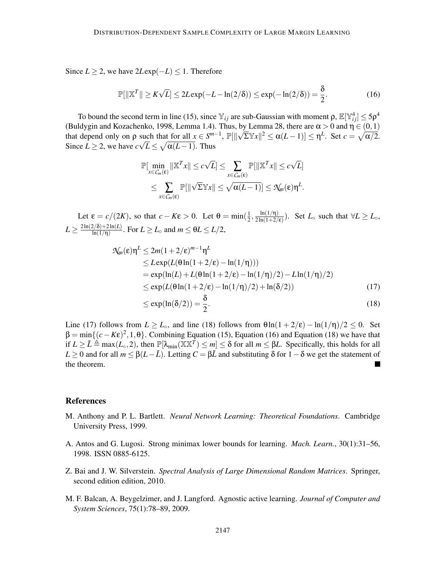Since *L* ≥ 2, we have  $2L \exp(-L)$  ≤ 1. Therefore

$$
\mathbb{P}[\|\mathbb{X}^T\| \ge K\sqrt{L}] \le 2L\exp(-L - \ln(2/\delta)) \le \exp(-\ln(2/\delta)) = \frac{\delta}{2}.
$$
 (16)

To bound the second term in line (15), since  $\mathbb{Y}_{ij}$  are sub-Gaussian with moment  $\rho$ ,  $\mathbb{E}[\mathbb{Y}_{ij}^4] \le 5\rho^4$ (Buldygin and Kozachenko, 1998, Lemma 1.4). Thus, by Lemma 28, there are  $\alpha > 0$  and  $\eta \in (0,1)$ that depend only on  $\rho$  such that for all  $x \in S^{m-1}$ ,  $\mathbb{P}[\|\sqrt{\Sigma} \mathbb{Y}x\|^2 \leq \alpha(L-1)] \leq \eta^L$ . Set  $c = \sqrt{\alpha/2}$ . Since  $L \ge 2$ , we have  $c\sqrt{L} \le \sqrt{\alpha(L-1)}$ . Thus

$$
\mathbb{P}[\min_{x \in C_m(\varepsilon)} ||\mathbb{X}^T x|| \le c\sqrt{L}] \le \sum_{x \in C_m(\varepsilon)} \mathbb{P}[||\mathbb{X}^T x|| \le c\sqrt{L}] \le \sum_{x \in C_m(\varepsilon)} \mathbb{P}[||\sqrt{\Sigma} \mathbb{Y} x|| \le \sqrt{\alpha(L-1)}] \le \mathcal{N}_m(\varepsilon) \eta^L.
$$

Let  $\varepsilon = c/(2K)$ , so that  $c - K\varepsilon > 0$ . Let  $\theta = \min(\frac{1}{2}$  $\frac{1}{2}, \frac{\ln(1/\eta)}{2\ln(1+2)}$  $\frac{\ln(1/1)}{2\ln(1+2/\epsilon)}$ ). Set *L*<sup>°</sup> such that  $\forall L \ge L$ <sup>°</sup>,  $L \geq \frac{2\ln(2/\delta) + 2\ln(L)}{\ln(1/\eta)}$  $\frac{\sum_{l=1}^{L}(\mathbf{0})+2\ln(L)}{\ln(1/\eta)}$ . For  $L \geq L_{\circ}$  and  $m \leq \theta L \leq L/2$ ,

$$
\mathcal{N}_m(\varepsilon)\eta^L \le 2m(1+2/\varepsilon)^{m-1}\eta^L
$$
  
\n
$$
\le L \exp(L(\theta \ln(1+2/\varepsilon) - \ln(1/\eta))))
$$
  
\n
$$
= \exp(\ln(L) + L(\theta \ln(1+2/\varepsilon) - \ln(1/\eta)/2) - L\ln(1/\eta)/2)
$$
  
\n
$$
\le \exp(L(\theta \ln(1+2/\varepsilon) - \ln(1/\eta)/2) + \ln(\delta/2))
$$
\n(17)

$$
\leq \exp(\ln(\delta/2)) = \frac{\delta}{2}.\tag{18}
$$

Line (17) follows from  $L \ge L_0$ , and line (18) follows from  $\theta \ln(1 + 2/\epsilon) - \ln(1/\eta)/2 \le 0$ . Set  $\beta = \min_{\alpha} \{ (c - K \epsilon)^2, 1, \theta \}.$  Combining Equation (15), Equation (16) and Equation (18) we have that if  $L \ge \overline{L} \triangleq \max(L_0, 2)$ , then  $\mathbb{P}[\lambda_{\min}(\overline{\mathbb{X}} \mathbb{X}^T) \le m] \le \delta$  for all  $m \le \beta L$ . Specifically, this holds for all *L* ≥ 0 and for all *m* ≤  $\beta$ (*L*−*L*). Letting *C* =  $\beta$ *L* and substituting  $\delta$  for 1 −  $\delta$  we get the statement of the theorem the theorem.

#### **References**

- M. Anthony and P. L. Bartlett. *Neural Network Learning: Theoretical Foundations*. Cambridge University Press, 1999.
- A. Antos and G. Lugosi. Strong minimax lower bounds for learning. *Mach. Learn.*, 30(1):31–56, 1998. ISSN 0885-6125.
- Z. Bai and J. W. Silverstein. *Spectral Analysis of Large Dimensional Random Matrices*. Springer, second edition edition, 2010.
- M. F. Balcan, A. Beygelzimer, and J. Langford. Agnostic active learning. *Journal of Computer and System Sciences*, 75(1):78–89, 2009.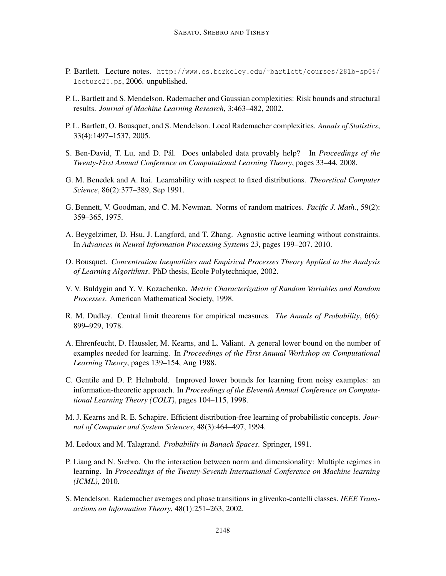- P. Bartlett. Lecture notes. http://www.cs.berkeley.edu/~bartlett/courses/281b-sp06/ lecture25.ps, 2006. unpublished.
- P. L. Bartlett and S. Mendelson. Rademacher and Gaussian complexities: Risk bounds and structural results. *Journal of Machine Learning Research*, 3:463–482, 2002.
- P. L. Bartlett, O. Bousquet, and S. Mendelson. Local Rademacher complexities. *Annals of Statistics*, 33(4):1497–1537, 2005.
- S. Ben-David, T. Lu, and D. Pál. Does unlabeled data provably help? In *Proceedings of the Twenty-First Annual Conference on Computational Learning Theory*, pages 33–44, 2008.
- G. M. Benedek and A. Itai. Learnability with respect to fixed distributions. *Theoretical Computer Science*, 86(2):377–389, Sep 1991.
- G. Bennett, V. Goodman, and C. M. Newman. Norms of random matrices. *Pacific J. Math.*, 59(2): 359–365, 1975.
- A. Beygelzimer, D. Hsu, J. Langford, and T. Zhang. Agnostic active learning without constraints. In *Advances in Neural Information Processing Systems 23*, pages 199–207. 2010.
- O. Bousquet. *Concentration Inequalities and Empirical Processes Theory Applied to the Analysis of Learning Algorithms*. PhD thesis, Ecole Polytechnique, 2002.
- V. V. Buldygin and Y. V. Kozachenko. *Metric Characterization of Random Variables and Random Processes*. American Mathematical Society, 1998.
- R. M. Dudley. Central limit theorems for empirical measures. *The Annals of Probability*, 6(6): 899–929, 1978.
- A. Ehrenfeucht, D. Haussler, M. Kearns, and L. Valiant. A general lower bound on the number of examples needed for learning. In *Proceedings of the First Anuual Workshop on Computational Learning Theory*, pages 139–154, Aug 1988.
- C. Gentile and D. P. Helmbold. Improved lower bounds for learning from noisy examples: an information-theoretic approach. In *Proceedings of the Eleventh Annual Conference on Computational Learning Theory (COLT)*, pages 104–115, 1998.
- M. J. Kearns and R. E. Schapire. Efficient distribution-free learning of probabilistic concepts. *Journal of Computer and System Sciences*, 48(3):464–497, 1994.
- M. Ledoux and M. Talagrand. *Probability in Banach Spaces*. Springer, 1991.
- P. Liang and N. Srebro. On the interaction between norm and dimensionality: Multiple regimes in learning. In *Proceedings of the Twenty-Seventh International Conference on Machine learning (ICML)*, 2010.
- S. Mendelson. Rademacher averages and phase transitions in glivenko-cantelli classes. *IEEE Transactions on Information Theory*, 48(1):251–263, 2002.